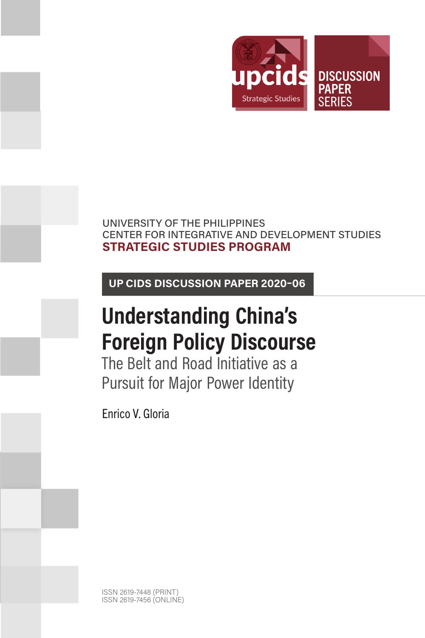

## UNIVERSITY OF THE PHILIPPINES CENTER FOR INTEGRATIVE AND DEVELOPMENT STUDIES **STRATEGIC STUDIES PROGRAM**

**UP CIDS DISCUSSION PAPER 2020–06**

# **Understanding China's Foreign Policy Discourse**

The Belt and Road Initiative as a Pursuit for Major Power Identity

Enrico V. Gloria

ISSN 2619-7448 (PRINT) ISSN 2619-7456 (ONLINE)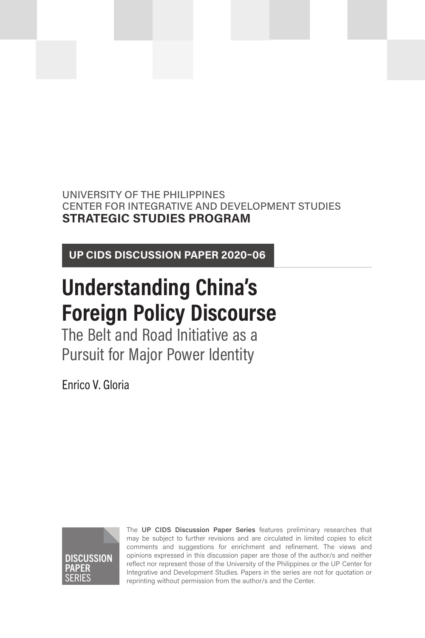# UNIVERSITY OF THE PHILIPPINES CENTER FOR INTEGRATIVE AND DEVELOPMENT STUDIES **STRATEGIC STUDIES PROGRAM**

**UP CIDS DISCUSSION PAPER 2020–06**

# **Understanding China's Foreign Policy Discourse**

The Belt and Road Initiative as a Pursuit for Major Power Identity

Enrico V. Gloria



The **UP CIDS Discussion Paper Series** features preliminary researches that may be subject to further revisions and are circulated in limited copies to elicit comments and suggestions for enrichment and refinement. The views and opinions expressed in this discussion paper are those of the author/s and neither reflect nor represent those of the University of the Philippines or the UP Center for Integrative and Development Studies. Papers in the series are not for quotation or reprinting without permission from the author/s and the Center.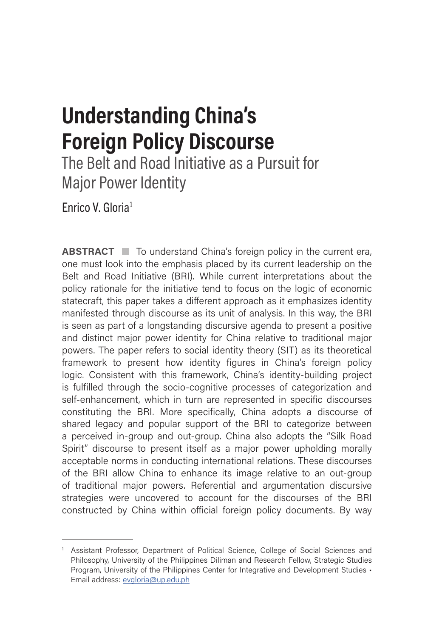# **Understanding China's Foreign Policy Discourse**

The Belt and Road Initiative as a Pursuit for Major Power Identity

Enrico V. Gloria1

**ABSTRACT** To understand China's foreign policy in the current era, one must look into the emphasis placed by its current leadership on the Belt and Road Initiative (BRI). While current interpretations about the policy rationale for the initiative tend to focus on the logic of economic statecraft, this paper takes a different approach as it emphasizes identity manifested through discourse as its unit of analysis. In this way, the BRI is seen as part of a longstanding discursive agenda to present a positive and distinct major power identity for China relative to traditional major powers. The paper refers to social identity theory (SIT) as its theoretical framework to present how identity figures in China's foreign policy logic. Consistent with this framework, China's identity-building project is fulfilled through the socio-cognitive processes of categorization and self-enhancement, which in turn are represented in specific discourses constituting the BRI. More specifically, China adopts a discourse of shared legacy and popular support of the BRI to categorize between a perceived in-group and out-group. China also adopts the "Silk Road Spirit" discourse to present itself as a major power upholding morally acceptable norms in conducting international relations. These discourses of the BRI allow China to enhance its image relative to an out-group of traditional major powers. Referential and argumentation discursive strategies were uncovered to account for the discourses of the BRI constructed by China within official foreign policy documents. By way

<sup>1</sup> Assistant Professor, Department of Political Science, College of Social Sciences and Philosophy, University of the Philippines Diliman and Research Fellow, Strategic Studies Program, University of the Philippines Center for Integrative and Development Studies • Email address: [evgloria@up.edu.ph](mailto:evgloria@up.edu.ph)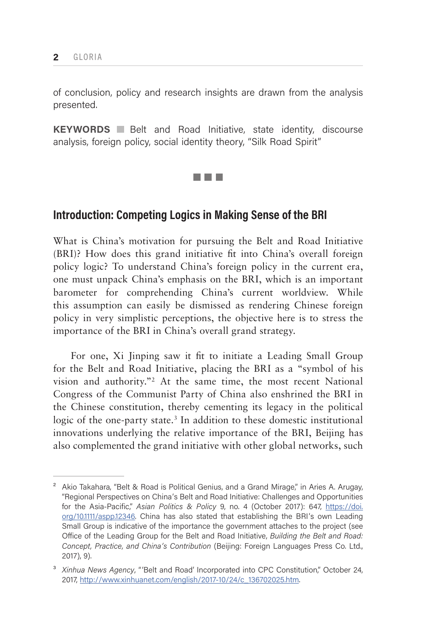of conclusion, policy and research insights are drawn from the analysis presented.

**KEYWORDS Belt** and Road Initiative, state identity, discourse analysis, foreign policy, social identity theory, "Silk Road Spirit"

<u>ra ba</u>

# **Introduction: Competing Logics in Making Sense of the BRI**

What is China's motivation for pursuing the Belt and Road Initiative (BRI)? How does this grand initiative fit into China's overall foreign policy logic? To understand China's foreign policy in the current era, one must unpack China's emphasis on the BRI, which is an important barometer for comprehending China's current worldview. While this assumption can easily be dismissed as rendering Chinese foreign policy in very simplistic perceptions, the objective here is to stress the importance of the BRI in China's overall grand strategy.

For one, Xi Jinping saw it fit to initiate a Leading Small Group for the Belt and Road Initiative, placing the BRI as a "symbol of his vision and authority."2 At the same time, the most recent National Congress of the Communist Party of China also enshrined the BRI in the Chinese constitution, thereby cementing its legacy in the political logic of the one-party state.<sup>3</sup> In addition to these domestic institutional innovations underlying the relative importance of the BRI, Beijing has also complemented the grand initiative with other global networks, such

<sup>&</sup>lt;sup>2</sup> Akio Takahara, "Belt & Road is Political Genius, and a Grand Mirage," in Aries A. Arugay, "Regional Perspectives on China's Belt and Road Initiative: Challenges and Opportunities for the Asia-Pacific," *Asian Politics & Policy* 9, no. 4 (October 2017): 647, [https://doi.](https://doi.org/10.1111/aspp.12346) [org/10.1111/aspp.12346](https://doi.org/10.1111/aspp.12346). China has also stated that establishing the BRI's own Leading Small Group is indicative of the importance the government attaches to the project (see Office of the Leading Group for the Belt and Road Initiative, *Building the Belt and Road: Concept, Practice, and China's Contribution* (Beijing: Foreign Languages Press Co. Ltd., 2017), 9).

<sup>&</sup>lt;sup>3</sup> *Xinhua News Agency*, "'Belt and Road' Incorporated into CPC Constitution," October 24, 2017, [http://www.xinhuanet.com/english/2017-10/24/c\\_136702025.htm.](http://www.xinhuanet.com/english/2017-10/24/c_136702025.htm)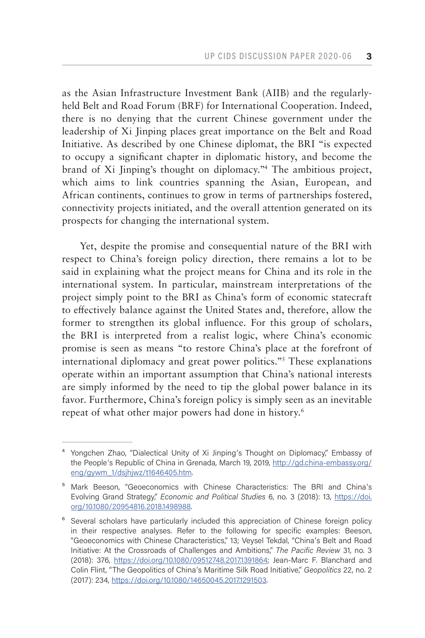as the Asian Infrastructure Investment Bank (AIIB) and the regularlyheld Belt and Road Forum (BRF) for International Cooperation. Indeed, there is no denying that the current Chinese government under the leadership of Xi Jinping places great importance on the Belt and Road Initiative. As described by one Chinese diplomat, the BRI "is expected to occupy a significant chapter in diplomatic history, and become the brand of Xi Jinping's thought on diplomacy."4 The ambitious project, which aims to link countries spanning the Asian, European, and African continents, continues to grow in terms of partnerships fostered, connectivity projects initiated, and the overall attention generated on its prospects for changing the international system.

Yet, despite the promise and consequential nature of the BRI with respect to China's foreign policy direction, there remains a lot to be said in explaining what the project means for China and its role in the international system. In particular, mainstream interpretations of the project simply point to the BRI as China's form of economic statecraft to effectively balance against the United States and, therefore, allow the former to strengthen its global influence. For this group of scholars, the BRI is interpreted from a realist logic, where China's economic promise is seen as means "to restore China's place at the forefront of international diplomacy and great power politics."5 These explanations operate within an important assumption that China's national interests are simply informed by the need to tip the global power balance in its favor. Furthermore, China's foreign policy is simply seen as an inevitable repeat of what other major powers had done in history.<sup>6</sup>

⁴ Yongchen Zhao, "Dialectical Unity of Xi Jinping's Thought on Diplomacy," Embassy of the People's Republic of China in Grenada, March 19, 2019, [http://gd.china-embassy.org/](http://gd.china-embassy.org/eng/gywm_1/dsjhjwz/t1646405.htm) [eng/gywm\\_1/dsjhjwz/t1646405.htm.](http://gd.china-embassy.org/eng/gywm_1/dsjhjwz/t1646405.htm)

<sup>&</sup>lt;sup>5</sup> Mark Beeson, "Geoeconomics with Chinese Characteristics: The BRI and China's Evolving Grand Strategy," *Economic and Political Studies* 6, no. 3 (2018): 13, [https://doi.](https://doi.org/10.1080/20954816.2018.1498988) [org/10.1080/20954816.2018.1498988.](https://doi.org/10.1080/20954816.2018.1498988)

<sup>&</sup>lt;sup>6</sup> Several scholars have particularly included this appreciation of Chinese foreign policy in their respective analyses. Refer to the following for specific examples: Beeson, "Geoeconomics with Chinese Characteristics," 13; Veysel Tekdal, "China's Belt and Road Initiative: At the Crossroads of Challenges and Ambitions," *The Pacific Review* 31, no. 3 (2018): 376, [https://doi.org/10.1080/09512748.2017.1391864;](https://doi.org/10.1080/09512748.2017.1391864) Jean-Marc F. Blanchard and Colin Flint, "The Geopolitics of China's Maritime Silk Road Initiative," *Geopolitics* 22, no. 2 (2017): 234, [https://doi.org/10.1080/14650045.2017.1291503.](https://doi.org/10.1080/14650045.2017.1291503)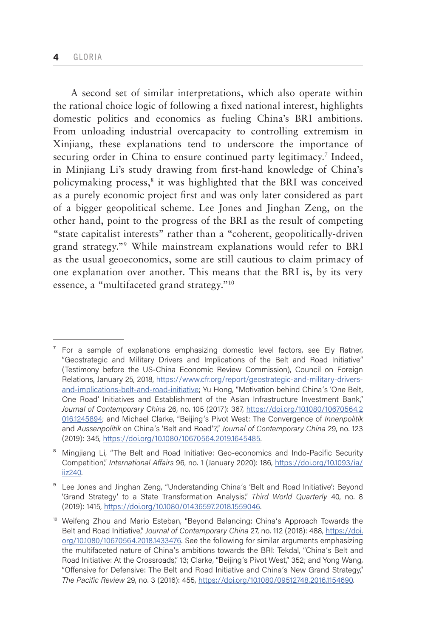A second set of similar interpretations, which also operate within the rational choice logic of following a fixed national interest, highlights domestic politics and economics as fueling China's BRI ambitions. From unloading industrial overcapacity to controlling extremism in Xinjiang, these explanations tend to underscore the importance of securing order in China to ensure continued party legitimacy.<sup>7</sup> Indeed, in Minjiang Li's study drawing from first-hand knowledge of China's policymaking process,<sup>8</sup> it was highlighted that the BRI was conceived as a purely economic project first and was only later considered as part of a bigger geopolitical scheme. Lee Jones and Jinghan Zeng, on the other hand, point to the progress of the BRI as the result of competing "state capitalist interests" rather than a "coherent, geopolitically-driven grand strategy."9 While mainstream explanations would refer to BRI as the usual geoeconomics, some are still cautious to claim primacy of one explanation over another. This means that the BRI is, by its very essence, a "multifaceted grand strategy."10

 $\frac{7}{1}$  For a sample of explanations emphasizing domestic level factors, see Ely Ratner, "Geostrategic and Military Drivers and Implications of the Belt and Road Initiative" (Testimony before the US-China Economic Review Commission), Council on Foreign Relations, January 25, 2018, [https://www.cfr.org/report/geostrategic-and-military-drivers](https://www.cfr.org/report/geostrategic-and-military-drivers-and-implications-belt-and-road-initiative)[and-implications-belt-and-road-initiative](https://www.cfr.org/report/geostrategic-and-military-drivers-and-implications-belt-and-road-initiative); Yu Hong, "Motivation behind China's 'One Belt, One Road' Initiatives and Establishment of the Asian Infrastructure Investment Bank," *Journal of Contemporary China* 26, no. 105 (2017): 367, [https://doi.org/10.1080/10670564.2](https://doi.org/10.1080/10670564.2016.1245894) [016.1245894;](https://doi.org/10.1080/10670564.2016.1245894) and Michael Clarke, "Beijing's Pivot West: The Convergence of *Innenpolitik* and *Aussenpolitik* on China's 'Belt and Road'?," *Journal of Contemporary China* 29, no. 123 (2019): 345, [https://doi.org/10.1080/10670564.2019.1645485.](https://doi.org/10.1080/10670564.2019.1645485)

<sup>&</sup>lt;sup>8</sup> Mingjiang Li, "The Belt and Road Initiative: Geo-economics and Indo-Pacific Security Competition," *International Affairs* 96, no. 1 (January 2020): 186, [https://doi.org/10.1093/ia/](https://doi.org/10.1093/ia/iiz240) [iiz240.](https://doi.org/10.1093/ia/iiz240)

<sup>&</sup>lt;sup>9</sup> Lee Jones and Jinghan Zeng, "Understanding China's 'Belt and Road Initiative': Beyond 'Grand Strategy' to a State Transformation Analysis," *Third World Quarterly* 40, no. 8 (2019): 1415, <https://doi.org/10.1080/01436597.2018.1559046>.

<sup>10</sup> Weifeng Zhou and Mario Esteban, "Beyond Balancing: China's Approach Towards the Belt and Road Initiative," *Journal of Contemporary China* 27, no. 112 (2018): 488, [https://doi.](https://doi.org/10.1080/10670564.2018.1433476) [org/10.1080/10670564.2018.1433476](https://doi.org/10.1080/10670564.2018.1433476). See the following for similar arguments emphasizing the multifaceted nature of China's ambitions towards the BRI: Tekdal, "China's Belt and Road Initiative: At the Crossroads," 13; Clarke, "Beijing's Pivot West," 352; and Yong Wang, "Offensive for Defensive: The Belt and Road Initiative and China's New Grand Strategy," *The Pacific Review* 29, no. 3 (2016): 455, [https://doi.org/10.1080/09512748.2016.1154690.](https://doi.org/10.1080/09512748.2016.1154690)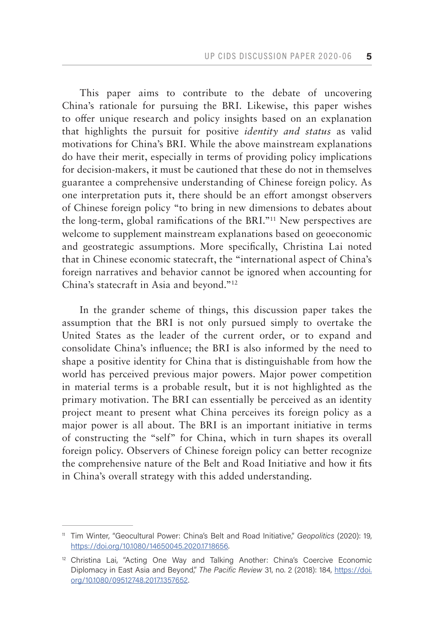This paper aims to contribute to the debate of uncovering China's rationale for pursuing the BRI. Likewise, this paper wishes to offer unique research and policy insights based on an explanation that highlights the pursuit for positive *identity and status* as valid motivations for China's BRI. While the above mainstream explanations do have their merit, especially in terms of providing policy implications for decision-makers, it must be cautioned that these do not in themselves guarantee a comprehensive understanding of Chinese foreign policy. As one interpretation puts it, there should be an effort amongst observers of Chinese foreign policy "to bring in new dimensions to debates about the long-term, global ramifications of the BRI."11 New perspectives are welcome to supplement mainstream explanations based on geoeconomic and geostrategic assumptions. More specifically, Christina Lai noted that in Chinese economic statecraft, the "international aspect of China's foreign narratives and behavior cannot be ignored when accounting for China's statecraft in Asia and beyond."12

In the grander scheme of things, this discussion paper takes the assumption that the BRI is not only pursued simply to overtake the United States as the leader of the current order, or to expand and consolidate China's influence; the BRI is also informed by the need to shape a positive identity for China that is distinguishable from how the world has perceived previous major powers. Major power competition in material terms is a probable result, but it is not highlighted as the primary motivation. The BRI can essentially be perceived as an identity project meant to present what China perceives its foreign policy as a major power is all about. The BRI is an important initiative in terms of constructing the "self" for China, which in turn shapes its overall foreign policy. Observers of Chinese foreign policy can better recognize the comprehensive nature of the Belt and Road Initiative and how it fits in China's overall strategy with this added understanding.

<sup>11</sup> Tim Winter, "Geocultural Power: China's Belt and Road Initiative," *Geopolitics* (2020): 19, [https://doi.org/10.1080/14650045.2020.1718656.](https://doi.org/10.1080/14650045.2020.1718656)

 $12$  Christina Lai, "Acting One Way and Talking Another: China's Coercive Economic Diplomacy in East Asia and Beyond," *The Pacific Review* 31, no. 2 (2018): 184, [https://doi.](https://doi.org/10.1080/09512748.2017.1357652) [org/10.1080/09512748.2017.1357652](https://doi.org/10.1080/09512748.2017.1357652).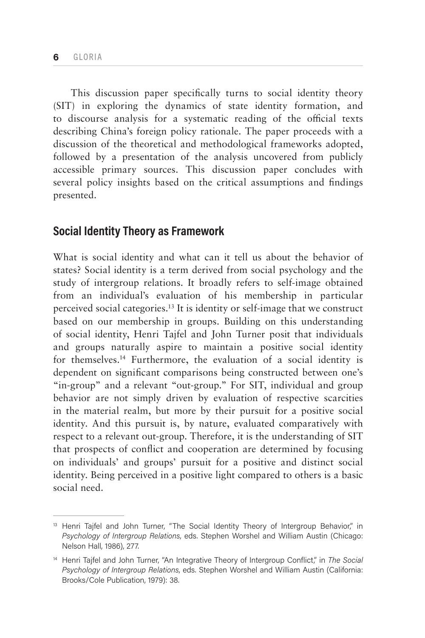This discussion paper specifically turns to social identity theory (SIT) in exploring the dynamics of state identity formation, and to discourse analysis for a systematic reading of the official texts describing China's foreign policy rationale. The paper proceeds with a discussion of the theoretical and methodological frameworks adopted, followed by a presentation of the analysis uncovered from publicly accessible primary sources. This discussion paper concludes with several policy insights based on the critical assumptions and findings presented.

# **Social Identity Theory as Framework**

What is social identity and what can it tell us about the behavior of states? Social identity is a term derived from social psychology and the study of intergroup relations. It broadly refers to self-image obtained from an individual's evaluation of his membership in particular perceived social categories.13 It is identity or self-image that we construct based on our membership in groups. Building on this understanding of social identity, Henri Tajfel and John Turner posit that individuals and groups naturally aspire to maintain a positive social identity for themselves.14 Furthermore, the evaluation of a social identity is dependent on significant comparisons being constructed between one's "in-group" and a relevant "out-group." For SIT, individual and group behavior are not simply driven by evaluation of respective scarcities in the material realm, but more by their pursuit for a positive social identity. And this pursuit is, by nature, evaluated comparatively with respect to a relevant out-group. Therefore, it is the understanding of SIT that prospects of conflict and cooperation are determined by focusing on individuals' and groups' pursuit for a positive and distinct social identity. Being perceived in a positive light compared to others is a basic social need.

<sup>&</sup>lt;sup>13</sup> Henri Tajfel and John Turner, "The Social Identity Theory of Intergroup Behavior," in *Psychology of Intergroup Relations*, eds. Stephen Worshel and William Austin (Chicago: Nelson Hall, 1986), 277.

<sup>14</sup> Henri Tajfel and John Turner, "An Integrative Theory of Intergroup Conflict," in *The Social Psychology of Intergroup Relations*, eds. Stephen Worshel and William Austin (California: Brooks/Cole Publication, 1979): 38.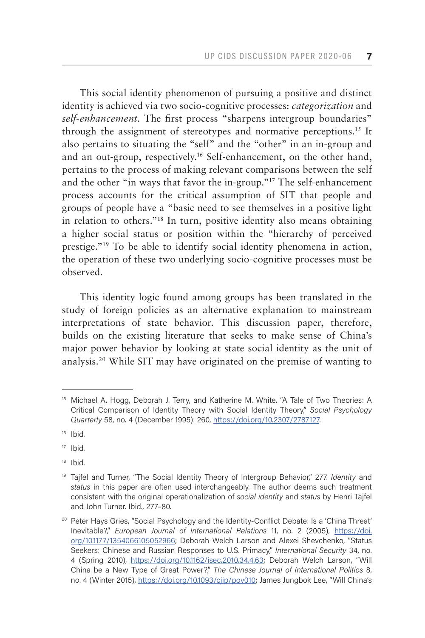This social identity phenomenon of pursuing a positive and distinct identity is achieved via two socio-cognitive processes: *categorization* and *self-enhancement*. The first process "sharpens intergroup boundaries" through the assignment of stereotypes and normative perceptions.15 It also pertains to situating the "self" and the "other" in an in-group and and an out-group, respectively.16 Self-enhancement, on the other hand, pertains to the process of making relevant comparisons between the self and the other "in ways that favor the in-group."17 The self-enhancement process accounts for the critical assumption of SIT that people and groups of people have a "basic need to see themselves in a positive light in relation to others."18 In turn, positive identity also means obtaining a higher social status or position within the "hierarchy of perceived prestige."19 To be able to identify social identity phenomena in action, the operation of these two underlying socio-cognitive processes must be observed.

This identity logic found among groups has been translated in the study of foreign policies as an alternative explanation to mainstream interpretations of state behavior. This discussion paper, therefore, builds on the existing literature that seeks to make sense of China's major power behavior by looking at state social identity as the unit of analysis.20 While SIT may have originated on the premise of wanting to

<sup>18</sup> Ibid.

<sup>&</sup>lt;sup>15</sup> Michael A. Hogg, Deborah J. Terry, and Katherine M. White. "A Tale of Two Theories: A Critical Comparison of Identity Theory with Social Identity Theory," *Social Psychology Quarterly* 58, no. 4 (December 1995): 260, [https://doi.org/10.2307/2787127.](https://doi.org/10.2307/2787127)

 $16$  Ibid.

<sup>17</sup> Ibid.

<sup>&</sup>lt;sup>19</sup> Tajfel and Turner, "The Social Identity Theory of Intergroup Behavior," 277. *Identity* and *status* in this paper are often used interchangeably. The author deems such treatment consistent with the original operationalization of *social identity* and *status* by Henri Tajfel and John Turner. Ibid., 277–80.

<sup>&</sup>lt;sup>20</sup> Peter Hays Gries, "Social Psychology and the Identity-Conflict Debate: Is a 'China Threat' Inevitable?," *European Journal of International Relations* 11, no. 2 (2005), [https://doi.](https://doi.org/10.1177/1354066105052966) [org/10.1177/1354066105052966](https://doi.org/10.1177/1354066105052966); Deborah Welch Larson and Alexei Shevchenko, "Status Seekers: Chinese and Russian Responses to U.S. Primacy," *International Security* 34, no. 4 (Spring 2010), [https://doi.org/10.1162/isec.2010.34.4.63;](https://doi.org/10.1162/isec.2010.34.4.63) Deborah Welch Larson, "Will China be a New Type of Great Power?," *The Chinese Journal of International Politics* 8, no. 4 (Winter 2015), [https://doi.org/10.1093/cjip/pov010;](https://doi.org/10.1093/cjip/pov010) James Jungbok Lee, "Will China's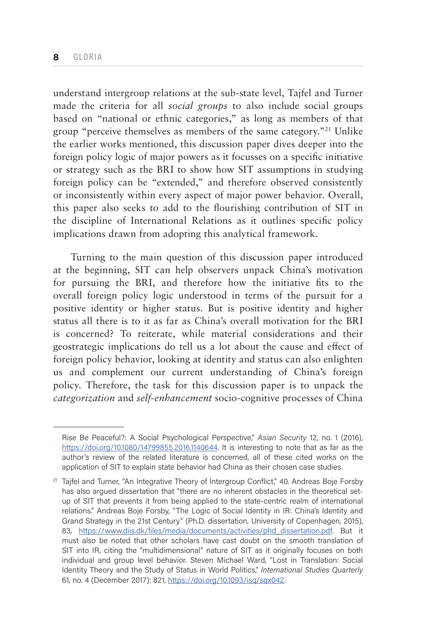understand intergroup relations at the sub-state level, Tajfel and Turner made the criteria for all *social groups* to also include social groups based on "national or ethnic categories," as long as members of that group "perceive themselves as members of the same category."21 Unlike the earlier works mentioned, this discussion paper dives deeper into the foreign policy logic of major powers as it focusses on a specific initiative or strategy such as the BRI to show how SIT assumptions in studying foreign policy can be "extended," and therefore observed consistently or inconsistently within every aspect of major power behavior. Overall, this paper also seeks to add to the flourishing contribution of SIT in the discipline of International Relations as it outlines specific policy implications drawn from adopting this analytical framework.

Turning to the main question of this discussion paper introduced at the beginning, SIT can help observers unpack China's motivation for pursuing the BRI, and therefore how the initiative fits to the overall foreign policy logic understood in terms of the pursuit for a positive identity or higher status. But is positive identity and higher status all there is to it as far as China's overall motivation for the BRI is concerned? To reiterate, while material considerations and their geostrategic implications do tell us a lot about the cause and effect of foreign policy behavior, looking at identity and status can also enlighten us and complement our current understanding of China's foreign policy. Therefore, the task for this discussion paper is to unpack the *categorization* and *self-enhancement* socio-cognitive processes of China

Rise Be Peaceful?: A Social Psychological Perspective," *Asian Security* 12, no. 1 (2016), <https://doi.org/10.1080/14799855.2016.1140644>. It is interesting to note that as far as the author's review of the related literature is concerned, all of these cited works on the application of SIT to explain state behavior had China as their chosen case studies.

 $21$  Tajfel and Turner, "An Integrative Theory of Intergroup Conflict," 40. Andreas Boje Forsby has also argued dissertation that "there are no inherent obstacles in the theoretical setup of SIT that prevents it from being applied to the state-centric realm of international relations." Andreas Boje Forsby, "The Logic of Social Identity in IR: China's Identity and Grand Strategy in the 21st Century" (Ph.D. dissertation, University of Copenhagen, 2015), 83, [https://www.diis.dk/files/media/documents/activities/phd\\_dissertation.pdf.](https://www.diis.dk/files/media/documents/activities/phd_dissertation.pdf) But it must also be noted that other scholars have cast doubt on the smooth translation of SIT into IR, citing the "multidimensional" nature of SIT as it originally focuses on both individual and group level behavior. Steven Michael Ward, "Lost in Translation: Social Identity Theory and the Study of Status in World Politics," *International Studies Quarterly* 61, no. 4 (December 2017): 821, [https://doi.org/10.1093/isq/sqx042.](https://doi.org/10.1093/isq/sqx042)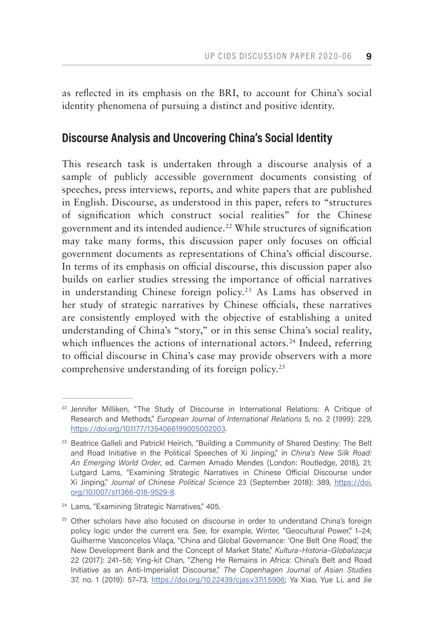as reflected in its emphasis on the BRI, to account for China's social identity phenomena of pursuing a distinct and positive identity.

# **Discourse Analysis and Uncovering China's Social Identity**

This research task is undertaken through a discourse analysis of a sample of publicly accessible government documents consisting of speeches, press interviews, reports, and white papers that are published in English. Discourse, as understood in this paper, refers to "structures of signification which construct social realities" for the Chinese government and its intended audience.<sup>22</sup> While structures of signification may take many forms, this discussion paper only focuses on official government documents as representations of China's official discourse. In terms of its emphasis on official discourse, this discussion paper also builds on earlier studies stressing the importance of official narratives in understanding Chinese foreign policy.23 As Lams has observed in her study of strategic narratives by Chinese officials, these narratives are consistently employed with the objective of establishing a united understanding of China's "story," or in this sense China's social reality, which influences the actions of international actors.<sup>24</sup> Indeed, referring to official discourse in China's case may provide observers with a more comprehensive understanding of its foreign policy.25

 $22$  Jennifer Milliken, "The Study of Discourse in International Relations: A Critique of Research and Methods," *European Journal of International Relations* 5, no. 2 (1999): 229, <https://doi.org/10.1177/1354066199005002003>.

<sup>&</sup>lt;sup>23</sup> Beatrice Galleli and Patrickl Heirich, "Building a Community of Shared Destiny: The Belt and Road Initiative in the Political Speeches of Xi Jinping," in *China's New Silk Road: An Emerging World Order*, ed. Carmen Amado Mendes (London: Routledge, 2018), 21; Lutgard Lams, "Examining Strategic Narratives in Chinese Official Discourse under Xi Jinping," *Journal of Chinese Political Science* 23 (September 2018): 389, [https://doi.](https://doi.org/10.1007/s11366-018-9529-8) [org/10.1007/s11366-018-9529-8](https://doi.org/10.1007/s11366-018-9529-8).

<sup>&</sup>lt;sup>24</sup> Lams, "Examining Strategic Narratives," 405.

<sup>&</sup>lt;sup>25</sup> Other scholars have also focused on discourse in order to understand China's foreign policy logic under the current era. See, for example, Winter, "Geocultural Power," 1-24; Guilherme Vasconcelos Vilaça, "China and Global Governance: 'One Belt One Road,' the New Development Bank and the Concept of Market State," *Kultura–Historia–Globalizacja*  22 (2017): 241–58; Ying-kit Chan, "Zheng He Remains in Africa: China's Belt and Road Initiative as an Anti-Imperialist Discourse," *The Copenhagen Journal of Asian Studies*  37, no. 1 (2019): 57–73, <https://doi.org/10.22439/cjas.v37i1.5906>; Ya Xiao, Yue Li, and Jie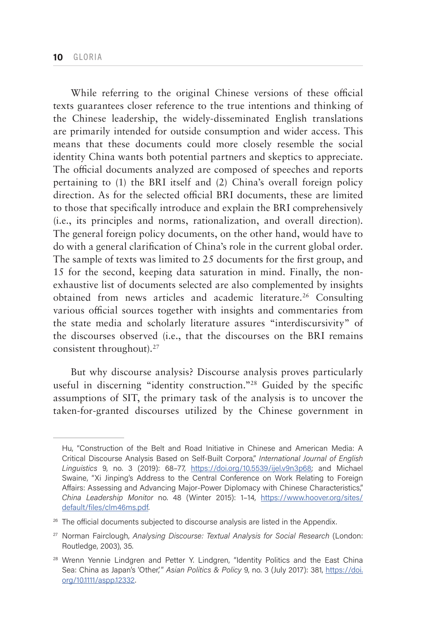While referring to the original Chinese versions of these official texts guarantees closer reference to the true intentions and thinking of the Chinese leadership, the widely-disseminated English translations are primarily intended for outside consumption and wider access. This means that these documents could more closely resemble the social identity China wants both potential partners and skeptics to appreciate. The official documents analyzed are composed of speeches and reports pertaining to (1) the BRI itself and (2) China's overall foreign policy direction. As for the selected official BRI documents, these are limited to those that specifically introduce and explain the BRI comprehensively (i.e., its principles and norms, rationalization, and overall direction). The general foreign policy documents, on the other hand, would have to do with a general clarification of China's role in the current global order. The sample of texts was limited to 25 documents for the first group, and 15 for the second, keeping data saturation in mind. Finally, the nonexhaustive list of documents selected are also complemented by insights obtained from news articles and academic literature.26 Consulting various official sources together with insights and commentaries from the state media and scholarly literature assures "interdiscursivity" of the discourses observed (i.e., that the discourses on the BRI remains consistent throughout).<sup>27</sup>

But why discourse analysis? Discourse analysis proves particularly useful in discerning "identity construction."28 Guided by the specific assumptions of SIT, the primary task of the analysis is to uncover the taken-for-granted discourses utilized by the Chinese government in

Hu, "Construction of the Belt and Road Initiative in Chinese and American Media: A Critical Discourse Analysis Based on Self-Built Corpora," *International Journal of English Linguistics* 9, no. 3 (2019): 68–77, [https://doi.org/10.5539/ijel.v9n3p68;](https://doi.org/10.5539/ijel.v9n3p68) and Michael Swaine, "Xi Jinping's Address to the Central Conference on Work Relating to Foreign Affairs: Assessing and Advancing Major-Power Diplomacy with Chinese Characteristics," *China Leadership Monitor* no. 48 (Winter 2015): 1–14, [https://www.hoover.org/sites/](https://www.hoover.org/sites/default/files/clm46ms.pdf) [default/files/clm46ms.pdf.](https://www.hoover.org/sites/default/files/clm46ms.pdf)

<sup>&</sup>lt;sup>26</sup> The official documents subjected to discourse analysis are listed in the Appendix.

<sup>27</sup> Norman Fairclough, *Analysing Discourse: Textual Analysis for Social Research* (London: Routledge, 2003), 35.

<sup>&</sup>lt;sup>28</sup> Wrenn Yennie Lindgren and Petter Y. Lindgren, "Identity Politics and the East China Sea: China as Japan's 'Other,'" *Asian Politics & Policy* 9, no. 3 (July 2017): 381, [https://doi.](https://doi.org/10.1111/aspp.12332) [org/10.1111/aspp.12332](https://doi.org/10.1111/aspp.12332).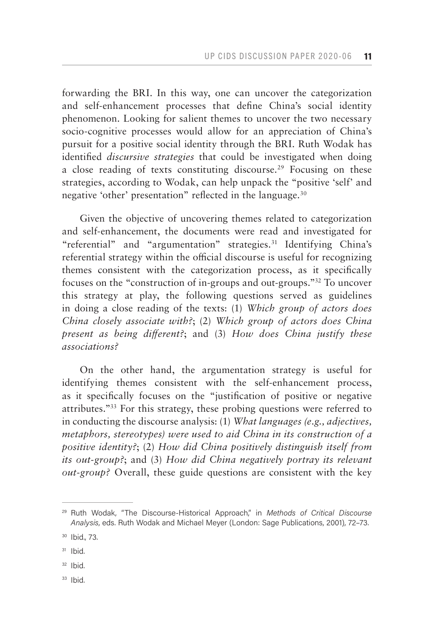forwarding the BRI. In this way, one can uncover the categorization and self-enhancement processes that define China's social identity phenomenon. Looking for salient themes to uncover the two necessary socio-cognitive processes would allow for an appreciation of China's pursuit for a positive social identity through the BRI. Ruth Wodak has identified *discursive strategies* that could be investigated when doing a close reading of texts constituting discourse.<sup>29</sup> Focusing on these strategies, according to Wodak, can help unpack the "positive 'self' and negative 'other' presentation" reflected in the language.<sup>30</sup>

Given the objective of uncovering themes related to categorization and self-enhancement, the documents were read and investigated for "referential" and "argumentation" strategies.31 Identifying China's referential strategy within the official discourse is useful for recognizing themes consistent with the categorization process, as it specifically focuses on the "construction of in-groups and out-groups."32 To uncover this strategy at play, the following questions served as guidelines in doing a close reading of the texts: (1) *Which group of actors does China closely associate with?*; (2) *Which group of actors does China present as being different?*; and (3) *How does China justify these associations?*

On the other hand, the argumentation strategy is useful for identifying themes consistent with the self-enhancement process, as it specifically focuses on the "justification of positive or negative attributes."33 For this strategy, these probing questions were referred to in conducting the discourse analysis: (1) *What languages (e.g., adjectives, metaphors, stereotypes) were used to aid China in its construction of a positive identity?*; (2) *How did China positively distinguish itself from its out-group?*; and (3) *How did China negatively portray its relevant out-group?* Overall, these guide questions are consistent with the key

- $32$  Ibid.
- <sup>33</sup> Ibid.

<sup>29</sup> Ruth Wodak, "The Discourse-Historical Approach," in *Methods of Critical Discourse Analysis*, eds. Ruth Wodak and Michael Meyer (London: Sage Publications, 2001), 72–73.

<sup>30</sup> Ibid., 73.

 $31$  Ibid.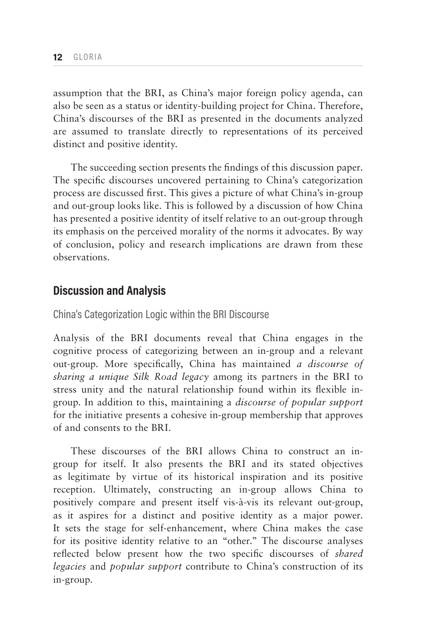assumption that the BRI, as China's major foreign policy agenda, can also be seen as a status or identity-building project for China. Therefore, China's discourses of the BRI as presented in the documents analyzed are assumed to translate directly to representations of its perceived distinct and positive identity.

The succeeding section presents the findings of this discussion paper. The specific discourses uncovered pertaining to China's categorization process are discussed first. This gives a picture of what China's in-group and out-group looks like. This is followed by a discussion of how China has presented a positive identity of itself relative to an out-group through its emphasis on the perceived morality of the norms it advocates. By way of conclusion, policy and research implications are drawn from these observations.

## **Discussion and Analysis**

China's Categorization Logic within the BRI Discourse

Analysis of the BRI documents reveal that China engages in the cognitive process of categorizing between an in-group and a relevant out-group. More specifically, China has maintained *a discourse of sharing a unique Silk Road legacy* among its partners in the BRI to stress unity and the natural relationship found within its flexible ingroup. In addition to this, maintaining a *discourse of popular support*  for the initiative presents a cohesive in-group membership that approves of and consents to the BRI.

These discourses of the BRI allows China to construct an ingroup for itself. It also presents the BRI and its stated objectives as legitimate by virtue of its historical inspiration and its positive reception. Ultimately, constructing an in-group allows China to positively compare and present itself vis-à-vis its relevant out-group, as it aspires for a distinct and positive identity as a major power. It sets the stage for self-enhancement, where China makes the case for its positive identity relative to an "other." The discourse analyses reflected below present how the two specific discourses of *shared legacies* and *popular support* contribute to China's construction of its in-group.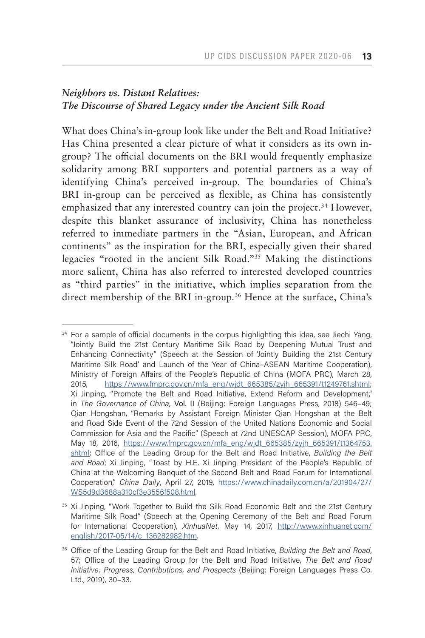# *Neighbors vs. Distant Relatives: The Discourse of Shared Legacy under the Ancient Silk Road*

What does China's in-group look like under the Belt and Road Initiative? Has China presented a clear picture of what it considers as its own ingroup? The official documents on the BRI would frequently emphasize solidarity among BRI supporters and potential partners as a way of identifying China's perceived in-group. The boundaries of China's BRI in-group can be perceived as flexible, as China has consistently emphasized that any interested country can join the project.<sup>34</sup> However, despite this blanket assurance of inclusivity, China has nonetheless referred to immediate partners in the "Asian, European, and African continents" as the inspiration for the BRI, especially given their shared legacies "rooted in the ancient Silk Road."35 Making the distinctions more salient, China has also referred to interested developed countries as "third parties" in the initiative, which implies separation from the direct membership of the BRI in-group.<sup>36</sup> Hence at the surface, China's

<sup>&</sup>lt;sup>34</sup> For a sample of official documents in the corpus highlighting this idea, see Jiechi Yang, "Jointly Build the 21st Century Maritime Silk Road by Deepening Mutual Trust and Enhancing Connectivity" (Speech at the Session of 'Jointly Building the 21st Century Maritime Silk Road' and Launch of the Year of China–ASEAN Maritime Cooperation), Ministry of Foreign Affairs of the People's Republic of China (MOFA PRC), March 28, 2015, [https://www.fmprc.gov.cn/mfa\\_eng/wjdt\\_665385/zyjh\\_665391/t1249761.shtml](https://www.fmprc.gov.cn/mfa_eng/wjdt_665385/zyjh_665391/t1249761.shtml); Xi Jinping, "Promote the Belt and Road Initiative, Extend Reform and Development," in *The Governance of China*, Vol. II (Beijing: Foreign Languages Press, 2018) 546–49; Qian Hongshan, "Remarks by Assistant Foreign Minister Qian Hongshan at the Belt and Road Side Event of the 72nd Session of the United Nations Economic and Social Commission for Asia and the Pacific" (Speech at 72nd UNESCAP Session), MOFA PRC, May 18, 2016, [https://www.fmprc.gov.cn/mfa\\_eng/wjdt\\_665385/zyjh\\_665391/t1364753.](https://www.fmprc.gov.cn/mfa_eng/wjdt_665385/zyjh_665391/t1364753.shtml) [shtml](https://www.fmprc.gov.cn/mfa_eng/wjdt_665385/zyjh_665391/t1364753.shtml); Office of the Leading Group for the Belt and Road Initiative, *Building the Belt and Road*; Xi Jinping, "Toast by H.E. Xi Jinping President of the People's Republic of China at the Welcoming Banquet of the Second Belt and Road Forum for International Cooperation," *China Daily*, April 27, 2019, [https://www.chinadaily.com.cn/a/201904/27/](https://www.chinadaily.com.cn/a/201904/27/WS5d9d3688a310cf3e3556f508.html) [WS5d9d3688a310cf3e3556f508.html.](https://www.chinadaily.com.cn/a/201904/27/WS5d9d3688a310cf3e3556f508.html)

<sup>&</sup>lt;sup>35</sup> Xi Jinping, "Work Together to Build the Silk Road Economic Belt and the 21st Century Maritime Silk Road" (Speech at the Opening Ceremony of the Belt and Road Forum for International Cooperation), *XinhuaNet*, May 14, 2017, [http://www.xinhuanet.com/](http://www.xinhuanet.com/english/2017-05/14/c_136282982.htm) [english/2017-05/14/c\\_136282982.htm.](http://www.xinhuanet.com/english/2017-05/14/c_136282982.htm)

<sup>36</sup> Office of the Leading Group for the Belt and Road Initiative, *Building the Belt and Road*, 57; Office of the Leading Group for the Belt and Road Initiative, *The Belt and Road Initiative: Progress, Contributions, and Prospects* (Beijing: Foreign Languages Press Co. Ltd., 2019), 30–33[.](http://www.xinhuanet.com/english/2019-04/22/c_137998357.htm)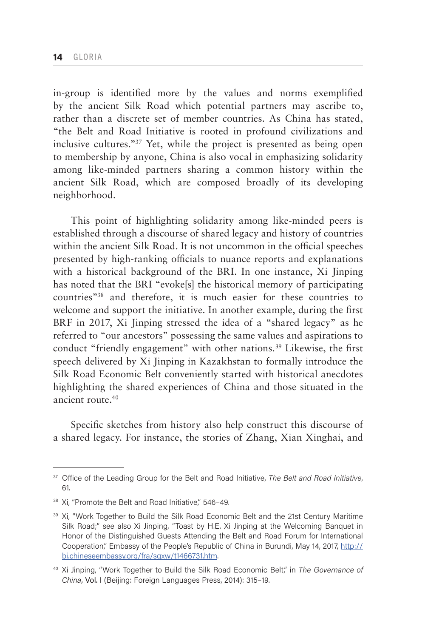in-group is identified more by the values and norms exemplified by the ancient Silk Road which potential partners may ascribe to, rather than a discrete set of member countries. As China has stated, "the Belt and Road Initiative is rooted in profound civilizations and inclusive cultures."37 Yet, while the project is presented as being open to membership by anyone, China is also vocal in emphasizing solidarity among like-minded partners sharing a common history within the ancient Silk Road, which are composed broadly of its developing neighborhood.

This point of highlighting solidarity among like-minded peers is established through a discourse of shared legacy and history of countries within the ancient Silk Road. It is not uncommon in the official speeches presented by high-ranking officials to nuance reports and explanations with a historical background of the BRI. In one instance, Xi Jinping has noted that the BRI "evoke[s] the historical memory of participating countries"38 and therefore, it is much easier for these countries to welcome and support the initiative. In another example, during the first BRF in 2017, Xi Jinping stressed the idea of a "shared legacy" as he referred to "our ancestors" possessing the same values and aspirations to conduct "friendly engagement" with other nations.<sup>39</sup> Likewise, the first speech delivered by Xi Jinping in Kazakhstan to formally introduce the Silk Road Economic Belt conveniently started with historical anecdotes highlighting the shared experiences of China and those situated in the ancient route.40

Specific sketches from history also help construct this discourse of a shared legacy. For instance, the stories of Zhang, Xian Xinghai, and

<sup>37</sup> Office of the Leading Group for the Belt and Road Initiative, *The Belt and Road Initiative*, 61.

<sup>&</sup>lt;sup>38</sup> Xi, "Promote the Belt and Road Initiative," 546-49.

<sup>&</sup>lt;sup>39</sup> Xi, "Work Together to Build the Silk Road Economic Belt and the 21st Century Maritime Silk Road;" see also Xi Jinping, "Toast by H.E. Xi Jinping at the Welcoming Banquet in Honor of the Distinguished Guests Attending the Belt and Road Forum for International Cooperation," Embassy of the People's Republic of China in Burundi, May 14, 2017, [http://](http://bi.chineseembassy.org/fra/sgxw/t1466731.htm) [bi.chineseembassy.org/fra/sgxw/t1466731.htm.](http://bi.chineseembassy.org/fra/sgxw/t1466731.htm)

<sup>40</sup> Xi Jinping, "Work Together to Build the Silk Road Economic Belt," in *The Governance of China*, Vol. I (Beijing: Foreign Languages Press, 2014): 315–19.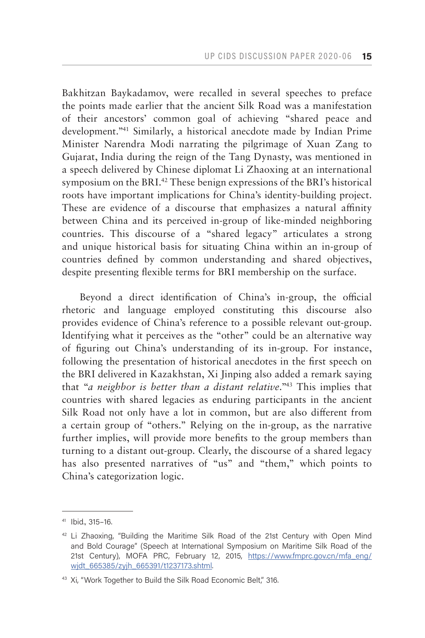Bakhitzan Baykadamov, were recalled in several speeches to preface the points made earlier that the ancient Silk Road was a manifestation of their ancestors' common goal of achieving "shared peace and development."41 Similarly, a historical anecdote made by Indian Prime Minister Narendra Modi narrating the pilgrimage of Xuan Zang to Gujarat, India during the reign of the Tang Dynasty, was mentioned in a speech delivered by Chinese diplomat Li Zhaoxing at an international symposium on the BRI.<sup>42</sup> These benign expressions of the BRI's historical roots have important implications for China's identity-building project. These are evidence of a discourse that emphasizes a natural affinity between China and its perceived in-group of like-minded neighboring countries. This discourse of a "shared legacy" articulates a strong and unique historical basis for situating China within an in-group of countries defined by common understanding and shared objectives, despite presenting flexible terms for BRI membership on the surface.

Beyond a direct identification of China's in-group, the official rhetoric and language employed constituting this discourse also provides evidence of China's reference to a possible relevant out-group. Identifying what it perceives as the "other" could be an alternative way of figuring out China's understanding of its in-group. For instance, following the presentation of historical anecdotes in the first speech on the BRI delivered in Kazakhstan, Xi Jinping also added a remark saying that "*a neighbor is better than a distant relative*."43 This implies that countries with shared legacies as enduring participants in the ancient Silk Road not only have a lot in common, but are also different from a certain group of "others." Relying on the in-group, as the narrative further implies, will provide more benefits to the group members than turning to a distant out-group. Clearly, the discourse of a shared legacy has also presented narratives of "us" and "them," which points to China's categorization logic.

<sup>41</sup> Ibid., 315–16.

 $42$  Li Zhaoxing, "Building the Maritime Silk Road of the 21st Century with Open Mind and Bold Courage" (Speech at International Symposium on Maritime Silk Road of the 21st Century), MOFA PRC, February 12, 2015, [https://www.fmprc.gov.cn/mfa\\_eng/](https://www.fmprc.gov.cn/mfa_eng/wjdt_665385/zyjh_665391/t1237173.shtml) widt\_665385/zyjh\_665391/t1237173.shtml.

<sup>&</sup>lt;sup>43</sup> Xi, "Work Together to Build the Silk Road Economic Belt," 316.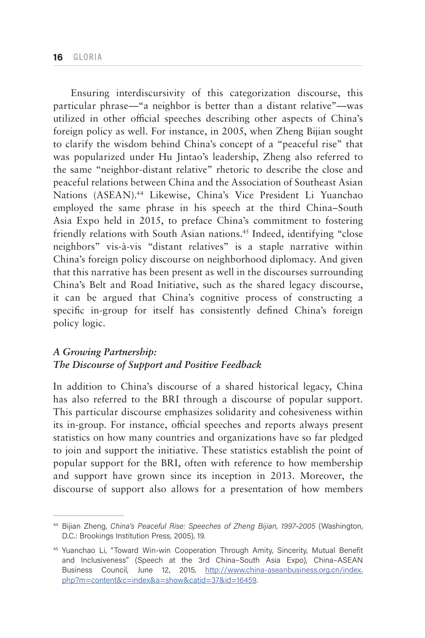Ensuring interdiscursivity of this categorization discourse, this particular phrase—"a neighbor is better than a distant relative"—was utilized in other official speeches describing other aspects of China's foreign policy as well. For instance, in 2005, when Zheng Bijian sought to clarify the wisdom behind China's concept of a "peaceful rise" that was popularized under Hu Jintao's leadership, Zheng also referred to the same "neighbor-distant relative" rhetoric to describe the close and peaceful relations between China and the Association of Southeast Asian Nations (ASEAN).44 Likewise, China's Vice President Li Yuanchao employed the same phrase in his speech at the third China–South Asia Expo held in 2015, to preface China's commitment to fostering friendly relations with South Asian nations.<sup>45</sup> Indeed, identifying "close neighbors" vis-à-vis "distant relatives" is a staple narrative within China's foreign policy discourse on neighborhood diplomacy. And given that this narrative has been present as well in the discourses surrounding China's Belt and Road Initiative, such as the shared legacy discourse, it can be argued that China's cognitive process of constructing a specific in-group for itself has consistently defined China's foreign policy logic.

## *A Growing Partnership: The Discourse of Support and Positive Feedback*

In addition to China's discourse of a shared historical legacy, China has also referred to the BRI through a discourse of popular support. This particular discourse emphasizes solidarity and cohesiveness within its in-group. For instance, official speeches and reports always present statistics on how many countries and organizations have so far pledged to join and support the initiative. These statistics establish the point of popular support for the BRI, often with reference to how membership and support have grown since its inception in 2013. Moreover, the discourse of support also allows for a presentation of how members

<sup>44</sup> Bijian Zheng, *China's Peaceful Rise: Speeches of Zheng Bijian, 1997–2005* (Washington, D.C.: Brookings Institution Press, 2005), 19.

<sup>45</sup> Yuanchao Li, "Toward Win-win Cooperation Through Amity, Sincerity, Mutual Benefit and Inclusiveness" (Speech at the 3rd China–South Asia Expo), China–ASEAN Business Council, June 12, 2015, [http://www.china-aseanbusiness.org.cn/index.](http://www.china-aseanbusiness.org.cn/index.php?m=content&c=index&a=show&catid=37&id=16459) [php?m=content&c=index&a=show&catid=37&id=16459.](http://www.china-aseanbusiness.org.cn/index.php?m=content&c=index&a=show&catid=37&id=16459)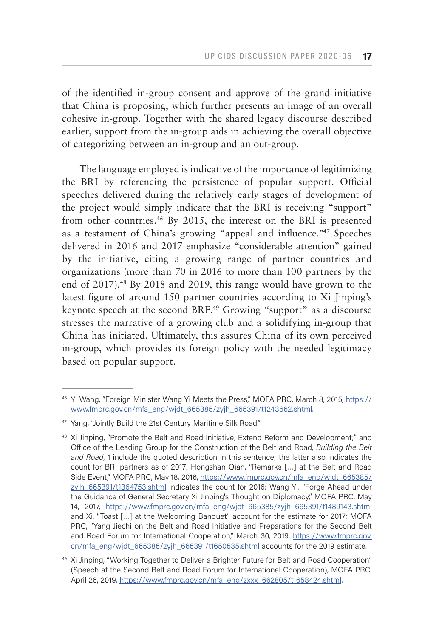of the identified in-group consent and approve of the grand initiative that China is proposing, which further presents an image of an overall cohesive in-group. Together with the shared legacy discourse described earlier, support from the in-group aids in achieving the overall objective of categorizing between an in-group and an out-group.

The language employed is indicative of the importance of legitimizing the BRI by referencing the persistence of popular support. Official speeches delivered during the relatively early stages of development of the project would simply indicate that the BRI is receiving "support" from other countries.46 By 2015, the interest on the BRI is presented as a testament of China's growing "appeal and influence."47 Speeches delivered in 2016 and 2017 emphasize "considerable attention" gained by the initiative, citing a growing range of partner countries and organizations (more than 70 in 2016 to more than 100 partners by the end of 2017).48 By 2018 and 2019, this range would have grown to the latest figure of around 150 partner countries according to Xi Jinping's keynote speech at the second BRF.<sup>49</sup> Growing "support" as a discourse stresses the narrative of a growing club and a solidifying in-group that China has initiated. Ultimately, this assures China of its own perceived in-group, which provides its foreign policy with the needed legitimacy based on popular support.

<sup>46</sup> Yi Wang, "Foreign Minister Wang Yi Meets the Press," MOFA PRC, March 8, 2015, [https://](https://www.fmprc.gov.cn/mfa_eng/wjdt_665385/zyjh_665391/t1243662.shtml) [www.fmprc.gov.cn/mfa\\_eng/wjdt\\_665385/zyjh\\_665391/t1243662.shtml.](https://www.fmprc.gov.cn/mfa_eng/wjdt_665385/zyjh_665391/t1243662.shtml)

<sup>47</sup> Yang, "Jointly Build the 21st Century Maritime Silk Road."

<sup>48</sup> Xi Jinping, "Promote the Belt and Road Initiative, Extend Reform and Development;" and Office of the Leading Group for the Construction of the Belt and Road, *Building the Belt and Road*, 1 include the quoted description in this sentence; the latter also indicates the count for BRI partners as of 2017; Hongshan Qian, "Remarks […] at the Belt and Road Side Event," MOFA PRC, May 18, 2016, [https://www.fmprc.gov.cn/mfa\\_eng/wjdt\\_665385/](https://www.fmprc.gov.cn/mfa_eng/wjdt_665385/zyjh_665391/t1364753.shtml) [zyjh\\_665391/t1364753.shtml](https://www.fmprc.gov.cn/mfa_eng/wjdt_665385/zyjh_665391/t1364753.shtml) indicates the count for 2016; Wang Yi, "Forge Ahead under the Guidance of General Secretary Xi Jinping's Thought on Diplomacy," MOFA PRC, May 14, 2017, [https://www.fmprc.gov.cn/mfa\\_eng/wjdt\\_665385/zyjh\\_665391/t1489143.shtml](https://www.fmprc.gov.cn/mfa_eng/wjdt_665385/zyjh_665391/t1489143.shtml) and Xi, "Toast […] at the Welcoming Banquet" account for the estimate for 2017; MOFA PRC, "Yang Jiechi on the Belt and Road Initiative and Preparations for the Second Belt and Road Forum for International Cooperation," March 30, 2019, [https://www.fmprc.gov.](https://www.fmprc.gov.cn/mfa_eng/wjdt_665385/zyjh_665391/t1650535.shtml) [cn/mfa\\_eng/wjdt\\_665385/zyjh\\_665391/t1650535.shtml](https://www.fmprc.gov.cn/mfa_eng/wjdt_665385/zyjh_665391/t1650535.shtml) accounts for the 2019 estimate.

<sup>&</sup>lt;sup>49</sup> Xi Jinping, "Working Together to Deliver a Brighter Future for Belt and Road Cooperation" (Speech at the Second Belt and Road Forum for International Cooperation), MOFA PRC, April 26, 2019, [https://www.fmprc.gov.cn/mfa\\_eng/zxxx\\_662805/t1658424.shtml](https://www.fmprc.gov.cn/mfa_eng/zxxx_662805/t1658424.shtml ).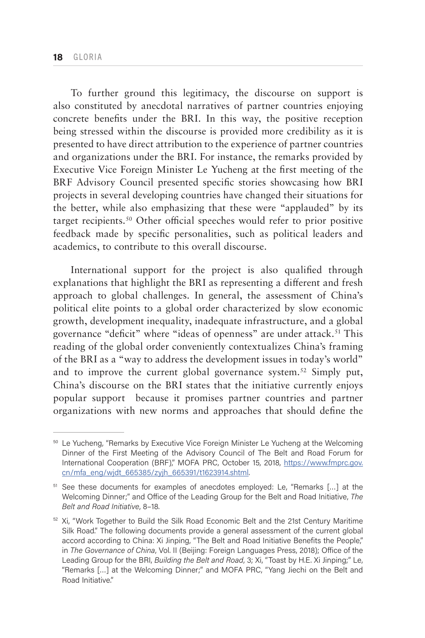To further ground this legitimacy, the discourse on support is also constituted by anecdotal narratives of partner countries enjoying concrete benefits under the BRI. In this way, the positive reception being stressed within the discourse is provided more credibility as it is presented to have direct attribution to the experience of partner countries and organizations under the BRI. For instance, the remarks provided by Executive Vice Foreign Minister Le Yucheng at the first meeting of the BRF Advisory Council presented specific stories showcasing how BRI projects in several developing countries have changed their situations for the better, while also emphasizing that these were "applauded" by its target recipients.50 Other official speeches would refer to prior positive feedback made by specific personalities, such as political leaders and academics, to contribute to this overall discourse.

International support for the project is also qualified through explanations that highlight the BRI as representing a different and fresh approach to global challenges. In general, the assessment of China's political elite points to a global order characterized by slow economic growth, development inequality, inadequate infrastructure, and a global governance "deficit" where "ideas of openness" are under attack.<sup>51</sup> This reading of the global order conveniently contextualizes China's framing of the BRI as a "way to address the development issues in today's world" and to improve the current global governance system.<sup>52</sup> Simply put, China's discourse on the BRI states that the initiative currently enjoys popular support because it promises partner countries and partner organizations with new norms and approaches that should define the

<sup>&</sup>lt;sup>50</sup> Le Yucheng, "Remarks by Executive Vice Foreign Minister Le Yucheng at the Welcoming Dinner of the First Meeting of the Advisory Council of The Belt and Road Forum for International Cooperation (BRF)," MOFA PRC, October 15, 2018, [https://www.fmprc.gov.](https://www.fmprc.gov.cn/mfa_eng/wjdt_665385/zyjh_665391/t1623914.shtml) [cn/mfa\\_eng/wjdt\\_665385/zyjh\\_665391/t1623914.shtml.](https://www.fmprc.gov.cn/mfa_eng/wjdt_665385/zyjh_665391/t1623914.shtml)

<sup>51</sup> See these documents for examples of anecdotes employed: Le, "Remarks […] at the Welcoming Dinner;" and Office of the Leading Group for the Belt and Road Initiative, *The Belt and Road Initiative*, 8–18.

<sup>52</sup> Xi, "Work Together to Build the Silk Road Economic Belt and the 21st Century Maritime Silk Road." The following documents provide a general assessment of the current global accord according to China: Xi Jinping, "The Belt and Road Initiative Benefits the People," in *The Governance of China*, Vol. II (Beijing: Foreign Languages Press, 2018); Office of the Leading Group for the BRI, *Building the Belt and Road*, 3; Xi, "Toast by H.E. Xi Jinping;" Le, "Remarks […] at the Welcoming Dinner;" and MOFA PRC, "Yang Jiechi on the Belt and Road Initiative."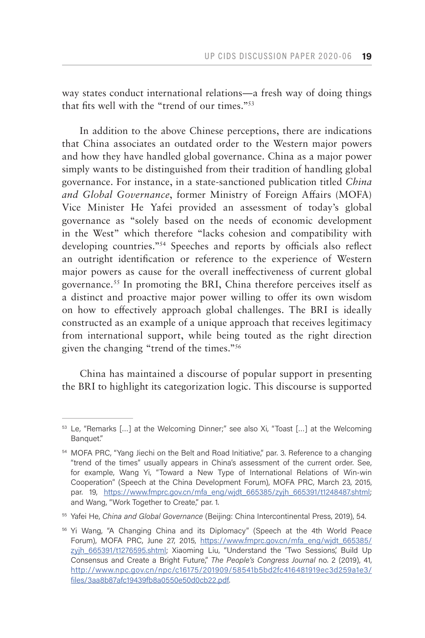way states conduct international relations—a fresh way of doing things that fits well with the "trend of our times."53

In addition to the above Chinese perceptions, there are indications that China associates an outdated order to the Western major powers and how they have handled global governance. China as a major power simply wants to be distinguished from their tradition of handling global governance. For instance, in a state-sanctioned publication titled *China and Global Governance*, former Ministry of Foreign Affairs (MOFA) Vice Minister He Yafei provided an assessment of today's global governance as "solely based on the needs of economic development in the West" which therefore "lacks cohesion and compatibility with developing countries."54 Speeches and reports by officials also reflect an outright identification or reference to the experience of Western major powers as cause for the overall ineffectiveness of current global governance.55 In promoting the BRI, China therefore perceives itself as a distinct and proactive major power willing to offer its own wisdom on how to effectively approach global challenges. The BRI is ideally constructed as an example of a unique approach that receives legitimacy from international support, while being touted as the right direction given the changing "trend of the times."56

China has maintained a discourse of popular support in presenting the BRI to highlight its categorization logic. This discourse is supported

<sup>53</sup> Le, "Remarks […] at the Welcoming Dinner;" see also Xi, "Toast […] at the Welcoming Banquet."

<sup>&</sup>lt;sup>54</sup> MOFA PRC, "Yang Jiechi on the Belt and Road Initiative," par. 3. Reference to a changing "trend of the times" usually appears in China's assessment of the current order. See, for example, Wang Yi, "Toward a New Type of International Relations of Win-win Cooperation" (Speech at the China Development Forum), MOFA PRC, March 23, 2015, par. 19, [https://www.fmprc.gov.cn/mfa\\_eng/wjdt\\_665385/zyjh\\_665391/t1248487.shtml](https://www.fmprc.gov.cn/mfa_eng/wjdt_665385/zyjh_665391/t1248487.shtml); and Wang, "Work Together to Create," par. 1.

<sup>55</sup> Yafei He, *China and Global Governance* (Beijing: China Intercontinental Press, 2019), 54.

<sup>56</sup> Yi Wang, "A Changing China and its Diplomacy" (Speech at the 4th World Peace Forum), MOFA PRC, June 27, 2015, [https://www.fmprc.gov.cn/mfa\\_eng/wjdt\\_665385/](https://www.fmprc.gov.cn/mfa_eng/wjdt_665385/zyjh_665391/t1276595.shtml) [zyjh\\_665391/t1276595.shtml;](https://www.fmprc.gov.cn/mfa_eng/wjdt_665385/zyjh_665391/t1276595.shtml) Xiaoming Liu, "Understand the 'Two Sessions', Build Up Consensus and Create a Bright Future," *The People's Congress Journal* no. 2 (2019), 41, [http://www.npc.gov.cn/npc/c16175/201909/58541b5bd2fc416481919ec3d259a1e3/](http://www.npc.gov.cn/npc/c16175/201909/58541b5bd2fc416481919ec3d259a1e3/files/3aa8b87afc19439fb8a0550e50d0cb22.pdf) [files/3aa8b87afc19439fb8a0550e50d0cb22.pdf.](http://www.npc.gov.cn/npc/c16175/201909/58541b5bd2fc416481919ec3d259a1e3/files/3aa8b87afc19439fb8a0550e50d0cb22.pdf)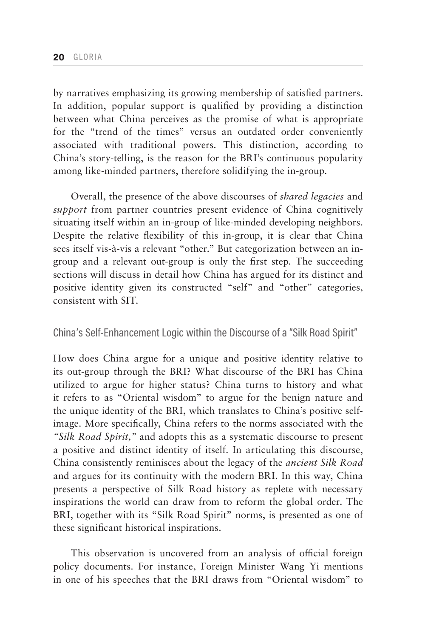by narratives emphasizing its growing membership of satisfied partners. In addition, popular support is qualified by providing a distinction between what China perceives as the promise of what is appropriate for the "trend of the times" versus an outdated order conveniently associated with traditional powers. This distinction, according to China's story-telling, is the reason for the BRI's continuous popularity among like-minded partners, therefore solidifying the in-group.

Overall, the presence of the above discourses of *shared legacies* and *support* from partner countries present evidence of China cognitively situating itself within an in-group of like-minded developing neighbors. Despite the relative flexibility of this in-group, it is clear that China sees itself vis-à-vis a relevant "other." But categorization between an ingroup and a relevant out-group is only the first step. The succeeding sections will discuss in detail how China has argued for its distinct and positive identity given its constructed "self" and "other" categories, consistent with SIT.

## China's Self-Enhancement Logic within the Discourse of a "Silk Road Spirit"

How does China argue for a unique and positive identity relative to its out-group through the BRI? What discourse of the BRI has China utilized to argue for higher status? China turns to history and what it refers to as "Oriental wisdom" to argue for the benign nature and the unique identity of the BRI, which translates to China's positive selfimage. More specifically, China refers to the norms associated with the *"Silk Road Spirit,"* and adopts this as a systematic discourse to present a positive and distinct identity of itself. In articulating this discourse, China consistently reminisces about the legacy of the *ancient Silk Road*  and argues for its continuity with the modern BRI. In this way, China presents a perspective of Silk Road history as replete with necessary inspirations the world can draw from to reform the global order. The BRI, together with its "Silk Road Spirit" norms, is presented as one of these significant historical inspirations.

This observation is uncovered from an analysis of official foreign policy documents. For instance, Foreign Minister Wang Yi mentions in one of his speeches that the BRI draws from "Oriental wisdom" to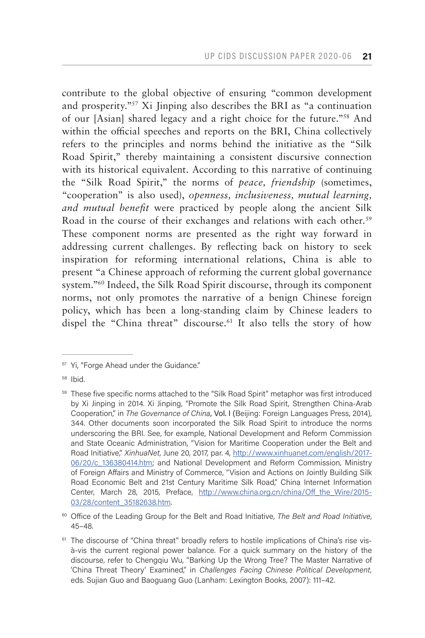contribute to the global objective of ensuring "common development and prosperity."57 Xi Jinping also describes the BRI as "a continuation of our [Asian] shared legacy and a right choice for the future."58 And within the official speeches and reports on the BRI, China collectively refers to the principles and norms behind the initiative as the "Silk Road Spirit," thereby maintaining a consistent discursive connection with its historical equivalent. According to this narrative of continuing the "Silk Road Spirit," the norms of *peace, friendship* (sometimes, "cooperation" is also used), *openness, inclusiveness, mutual learning, and mutual benefit* were practiced by people along the ancient Silk Road in the course of their exchanges and relations with each other.<sup>59</sup> These component norms are presented as the right way forward in addressing current challenges. By reflecting back on history to seek inspiration for reforming international relations, China is able to present "a Chinese approach of reforming the current global governance system."60 Indeed, the Silk Road Spirit discourse, through its component norms, not only promotes the narrative of a benign Chinese foreign policy, which has been a long-standing claim by Chinese leaders to dispel the "China threat" discourse.<sup>61</sup> It also tells the story of how

<sup>60</sup> Office of the Leading Group for the Belt and Road Initiative, *The Belt and Road Initiative*, 45–48.

<sup>&</sup>lt;sup>57</sup> Yi, "Forge Ahead under the Guidance."

<sup>58</sup> Ibid.

<sup>&</sup>lt;sup>59</sup> These five specific norms attached to the "Silk Road Spirit" metaphor was first introduced by Xi Jinping in 2014. Xi Jinping, "Promote the Silk Road Spirit, Strengthen China-Arab Cooperation," in *The Governance of China*, Vol. I (Beijing: Foreign Languages Press, 2014), 344. Other documents soon incorporated the Silk Road Spirit to introduce the norms underscoring the BRI. See, for example, National Development and Reform Commission and State Oceanic Administration, "Vision for Maritime Cooperation under the Belt and Road Initiative," *XinhuaNet*, June 20, 2017, par. 4, [http://www.xinhuanet.com/english/2017-](http://www.xinhuanet.com/english/2017-06/20/c_136380414.htm) [06/20/c\\_136380414.htm;](http://www.xinhuanet.com/english/2017-06/20/c_136380414.htm) and National Development and Reform Commission, Ministry of Foreign Affairs and Ministry of Commerce, "Vision and Actions on Jointly Building Silk Road Economic Belt and 21st Century Maritime Silk Road," China Internet Information Center, March 28, 2015, Preface, [http://www.china.org.cn/china/Off\\_the\\_Wire/2015-](http://www.china.org.cn/china/Off_the_Wire/2015-03/28/content_35182638.htm) [03/28/content\\_35182638.htm.](http://www.china.org.cn/china/Off_the_Wire/2015-03/28/content_35182638.htm)

<sup>&</sup>lt;sup>61</sup> The discourse of "China threat" broadly refers to hostile implications of China's rise visà-vis the current regional power balance. For a quick summary on the history of the discourse, refer to Chengqiu Wu, "Barking Up the Wrong Tree? The Master Narrative of 'China Threat Theory' Examined," in *Challenges Facing Chinese Political Development,*  eds. Sujian Guo and Baoguang Guo (Lanham: Lexington Books, 2007): 111–42.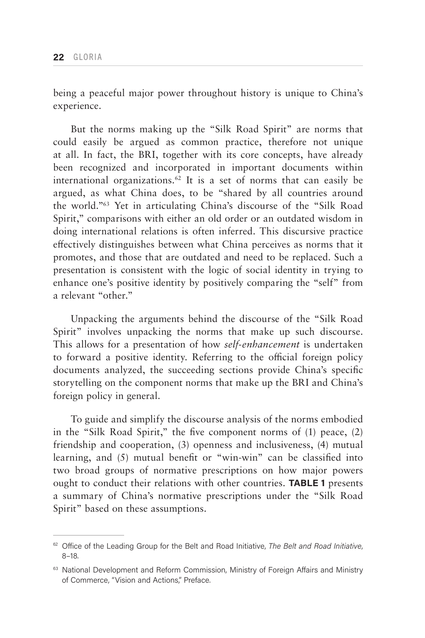being a peaceful major power throughout history is unique to China's experience.

But the norms making up the "Silk Road Spirit" are norms that could easily be argued as common practice, therefore not unique at all. In fact, the BRI, together with its core concepts, have already been recognized and incorporated in important documents within international organizations.<sup>62</sup> It is a set of norms that can easily be argued, as what China does, to be "shared by all countries around the world."63 Yet in articulating China's discourse of the "Silk Road Spirit," comparisons with either an old order or an outdated wisdom in doing international relations is often inferred. This discursive practice effectively distinguishes between what China perceives as norms that it promotes, and those that are outdated and need to be replaced. Such a presentation is consistent with the logic of social identity in trying to enhance one's positive identity by positively comparing the "self" from a relevant "other."

Unpacking the arguments behind the discourse of the "Silk Road Spirit" involves unpacking the norms that make up such discourse. This allows for a presentation of how *self-enhancement* is undertaken to forward a positive identity. Referring to the official foreign policy documents analyzed, the succeeding sections provide China's specific storytelling on the component norms that make up the BRI and China's foreign policy in general.

To guide and simplify the discourse analysis of the norms embodied in the "Silk Road Spirit," the five component norms of (1) peace, (2) friendship and cooperation, (3) openness and inclusiveness, (4) mutual learning, and (5) mutual benefit or "win-win" can be classified into two broad groups of normative prescriptions on how major powers ought to conduct their relations with other countries. **TABLE 1** presents a summary of China's normative prescriptions under the "Silk Road Spirit" based on these assumptions.

<sup>62</sup> Office of the Leading Group for the Belt and Road Initiative, *The Belt and Road Initiative*, 8–18.

<sup>&</sup>lt;sup>63</sup> National Development and Reform Commission, Ministry of Foreign Affairs and Ministry of Commerce, "Vision and Actions," Preface.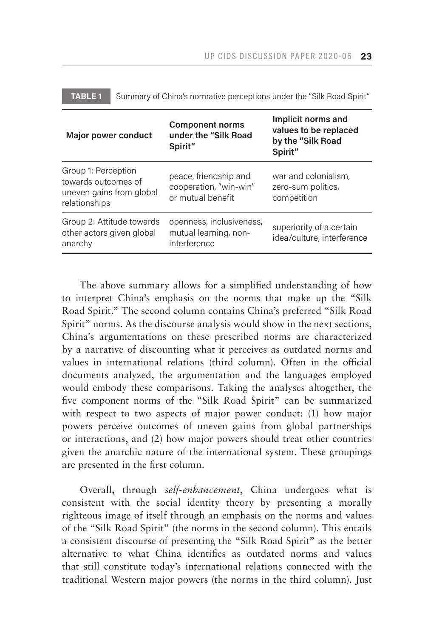| Major power conduct                                                                     | <b>Component norms</b><br>under the "Silk Road<br>Spirit"            | Implicit norms and<br>values to be replaced<br>by the "Silk Road<br>Spirit" |
|-----------------------------------------------------------------------------------------|----------------------------------------------------------------------|-----------------------------------------------------------------------------|
| Group 1: Perception<br>towards outcomes of<br>uneven gains from global<br>relationships | peace, friendship and<br>cooperation, "win-win"<br>or mutual benefit | war and colonialism,<br>zero-sum politics,<br>competition                   |
| Group 2: Attitude towards<br>other actors given global<br>anarchy                       | openness, inclusiveness,<br>mutual learning, non-<br>interference    | superiority of a certain<br>idea/culture, interference                      |

**TABLE 1** Summary of China's normative perceptions under the "Silk Road Spirit"

The above summary allows for a simplified understanding of how to interpret China's emphasis on the norms that make up the "Silk Road Spirit." The second column contains China's preferred "Silk Road Spirit" norms. As the discourse analysis would show in the next sections, China's argumentations on these prescribed norms are characterized by a narrative of discounting what it perceives as outdated norms and values in international relations (third column). Often in the official documents analyzed, the argumentation and the languages employed would embody these comparisons. Taking the analyses altogether, the five component norms of the "Silk Road Spirit" can be summarized with respect to two aspects of major power conduct: (1) how major powers perceive outcomes of uneven gains from global partnerships or interactions, and (2) how major powers should treat other countries given the anarchic nature of the international system. These groupings are presented in the first column.

Overall, through *self-enhancement*, China undergoes what is consistent with the social identity theory by presenting a morally righteous image of itself through an emphasis on the norms and values of the "Silk Road Spirit" (the norms in the second column). This entails a consistent discourse of presenting the "Silk Road Spirit" as the better alternative to what China identifies as outdated norms and values that still constitute today's international relations connected with the traditional Western major powers (the norms in the third column). Just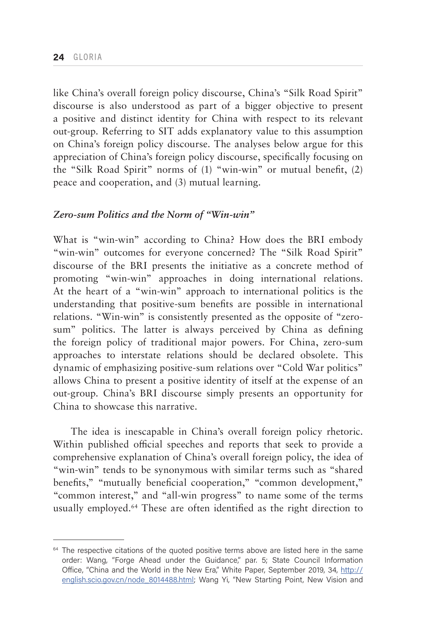like China's overall foreign policy discourse, China's "Silk Road Spirit" discourse is also understood as part of a bigger objective to present a positive and distinct identity for China with respect to its relevant out-group. Referring to SIT adds explanatory value to this assumption on China's foreign policy discourse. The analyses below argue for this appreciation of China's foreign policy discourse, specifically focusing on the "Silk Road Spirit" norms of (1) "win-win" or mutual benefit, (2) peace and cooperation, and (3) mutual learning.

## *Zero-sum Politics and the Norm of "Win-win"*

What is "win-win" according to China? How does the BRI embody "win-win" outcomes for everyone concerned? The "Silk Road Spirit" discourse of the BRI presents the initiative as a concrete method of promoting "win-win" approaches in doing international relations. At the heart of a "win-win" approach to international politics is the understanding that positive-sum benefits are possible in international relations. "Win-win" is consistently presented as the opposite of "zerosum" politics. The latter is always perceived by China as defining the foreign policy of traditional major powers. For China, zero-sum approaches to interstate relations should be declared obsolete. This dynamic of emphasizing positive-sum relations over "Cold War politics" allows China to present a positive identity of itself at the expense of an out-group. China's BRI discourse simply presents an opportunity for China to showcase this narrative.

The idea is inescapable in China's overall foreign policy rhetoric. Within published official speeches and reports that seek to provide a comprehensive explanation of China's overall foreign policy, the idea of "win-win" tends to be synonymous with similar terms such as "shared benefits," "mutually beneficial cooperation," "common development," "common interest," and "all-win progress" to name some of the terms usually employed.64 These are often identified as the right direction to

<sup>&</sup>lt;sup>64</sup> The respective citations of the quoted positive terms above are listed here in the same order: Wang, "Forge Ahead under the Guidance," par. 5; State Council Information Office, "China and the World in the New Era," White Paper, September 2019, 34, [http://](http://english.scio.gov.cn/node_8014488.html) [english.scio.gov.cn/node\\_8014488.html](http://english.scio.gov.cn/node_8014488.html); Wang Yi, "New Starting Point, New Vision and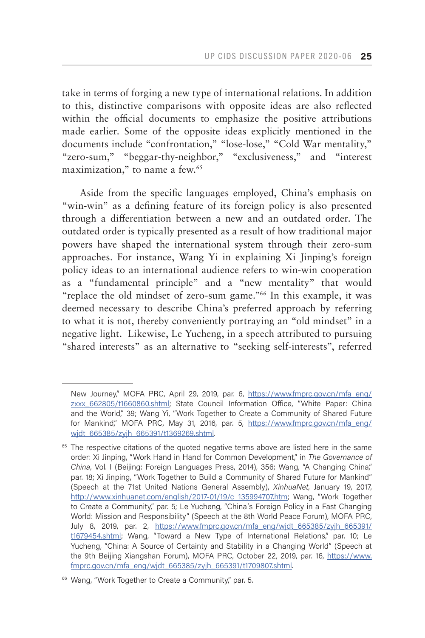take in terms of forging a new type of international relations. In addition to this, distinctive comparisons with opposite ideas are also reflected within the official documents to emphasize the positive attributions made earlier. Some of the opposite ideas explicitly mentioned in the documents include "confrontation," "lose-lose," "Cold War mentality," "zero-sum," "beggar-thy-neighbor," "exclusiveness," and "interest maximization," to name a few.<sup>65</sup>

Aside from the specific languages employed, China's emphasis on "win-win" as a defining feature of its foreign policy is also presented through a differentiation between a new and an outdated order. The outdated order is typically presented as a result of how traditional major powers have shaped the international system through their zero-sum approaches. For instance, Wang Yi in explaining Xi Jinping's foreign policy ideas to an international audience refers to win-win cooperation as a "fundamental principle" and a "new mentality" that would "replace the old mindset of zero-sum game."66 In this example, it was deemed necessary to describe China's preferred approach by referring to what it is not, thereby conveniently portraying an "old mindset" in a negative light. Likewise, Le Yucheng, in a speech attributed to pursuing "shared interests" as an alternative to "seeking self-interests", referred

New Journey," MOFA PRC, April 29, 2019, par. 6, [https://www.fmprc.gov.cn/mfa\\_eng/](https://www.fmprc.gov.cn/mfa_eng/zxxx_662805/t1660860.shtml) [zxxx\\_662805/t1660860.shtml](https://www.fmprc.gov.cn/mfa_eng/zxxx_662805/t1660860.shtml); State Council Information Office, "White Paper: China and the World," 39; Wang Yi, "Work Together to Create a Community of Shared Future for Mankind," MOFA PRC, May 31, 2016, par. 5, [https://www.fmprc.gov.cn/mfa\\_eng/](https://www.fmprc.gov.cn/mfa_eng/wjdt_665385/zyjh_665391/t1369269.shtml) [wjdt\\_665385/zyjh\\_665391/t1369269.shtml.](https://www.fmprc.gov.cn/mfa_eng/wjdt_665385/zyjh_665391/t1369269.shtml)

<sup>&</sup>lt;sup>65</sup> The respective citations of the quoted negative terms above are listed here in the same order: Xi Jinping, "Work Hand in Hand for Common Development," in *The Governance of China*, Vol. I (Beijing: Foreign Languages Press, 2014), 356; Wang, "A Changing China," par. 18; Xi Jinping, "Work Together to Build a Community of Shared Future for Mankind" (Speech at the 71st United Nations General Assembly), *XinhuaNet*, January 19, 2017, [http://www.xinhuanet.com/english/2017-01/19/c\\_135994707.htm](http://www.xinhuanet.com/english/2017-01/19/c_135994707.htm); Wang, "Work Together to Create a Community," par. 5; Le Yucheng, "China's Foreign Policy in a Fast Changing World: Mission and Responsibility" (Speech at the 8th World Peace Forum), MOFA PRC, July 8, 2019, par. 2, [https://www.fmprc.gov.cn/mfa\\_eng/wjdt\\_665385/zyjh\\_665391/](https://www.fmprc.gov.cn/mfa_eng/wjdt_665385/zyjh_665391/t1679454.shtml) [t1679454.shtml](https://www.fmprc.gov.cn/mfa_eng/wjdt_665385/zyjh_665391/t1679454.shtml); Wang, "Toward a New Type of International Relations," par. 10; Le Yucheng, "China: A Source of Certainty and Stability in a Changing World" (Speech at the 9th Beijing Xiangshan Forum), MOFA PRC, October 22, 2019, par. 16, [https://www.](https://www.fmprc.gov.cn/mfa_eng/wjdt_665385/zyjh_665391/t1709807.shtml) [fmprc.gov.cn/mfa\\_eng/wjdt\\_665385/zyjh\\_665391/t1709807.shtml.](https://www.fmprc.gov.cn/mfa_eng/wjdt_665385/zyjh_665391/t1709807.shtml)

<sup>&</sup>lt;sup>66</sup> Wang, "Work Together to Create a Community," par. 5.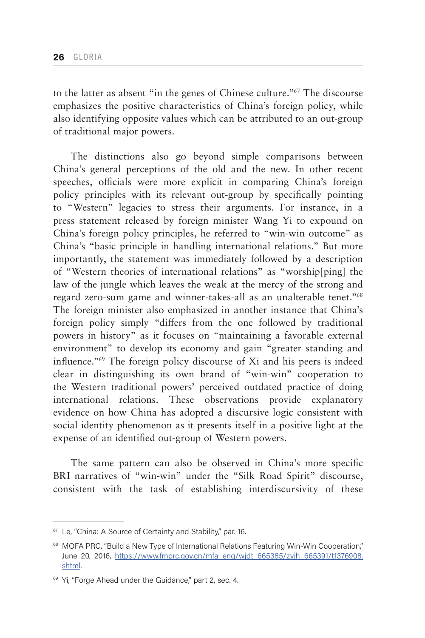to the latter as absent "in the genes of Chinese culture."67 The discourse emphasizes the positive characteristics of China's foreign policy, while also identifying opposite values which can be attributed to an out-group of traditional major powers.

The distinctions also go beyond simple comparisons between China's general perceptions of the old and the new. In other recent speeches, officials were more explicit in comparing China's foreign policy principles with its relevant out-group by specifically pointing to "Western" legacies to stress their arguments. For instance, in a press statement released by foreign minister Wang Yi to expound on China's foreign policy principles, he referred to "win-win outcome" as China's "basic principle in handling international relations." But more importantly, the statement was immediately followed by a description of "Western theories of international relations" as "worship[ping] the law of the jungle which leaves the weak at the mercy of the strong and regard zero-sum game and winner-takes-all as an unalterable tenet."68 The foreign minister also emphasized in another instance that China's foreign policy simply "differs from the one followed by traditional powers in history" as it focuses on "maintaining a favorable external environment" to develop its economy and gain "greater standing and influence."69 The foreign policy discourse of Xi and his peers is indeed clear in distinguishing its own brand of "win-win" cooperation to the Western traditional powers' perceived outdated practice of doing international relations. These observations provide explanatory evidence on how China has adopted a discursive logic consistent with social identity phenomenon as it presents itself in a positive light at the expense of an identified out-group of Western powers.

The same pattern can also be observed in China's more specific BRI narratives of "win-win" under the "Silk Road Spirit" discourse, consistent with the task of establishing interdiscursivity of these

<sup>&</sup>lt;sup>67</sup> Le, "China: A Source of Certainty and Stability," par. 16.

<sup>&</sup>lt;sup>68</sup> MOFA PRC, "Build a New Type of International Relations Featuring Win-Win Cooperation," June 20, 2016, [https://www.fmprc.gov.cn/mfa\\_eng/wjdt\\_665385/zyjh\\_665391/t1376908.](https://www.fmprc.gov.cn/mfa_eng/wjdt_665385/zyjh_665391/t1376908.shtml) [shtml.](https://www.fmprc.gov.cn/mfa_eng/wjdt_665385/zyjh_665391/t1376908.shtml)

<sup>&</sup>lt;sup>69</sup> Yi, "Forge Ahead under the Guidance," part 2, sec. 4.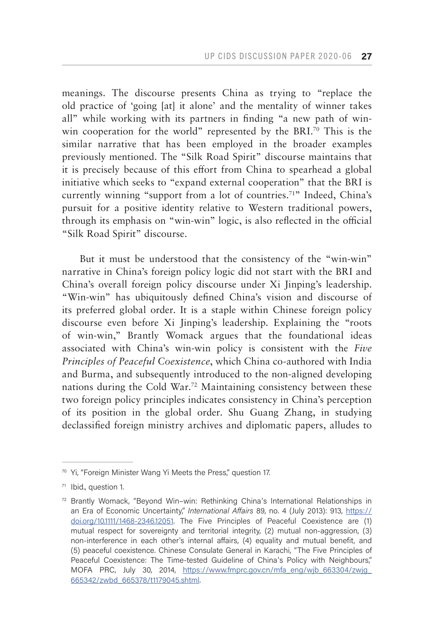meanings. The discourse presents China as trying to "replace the old practice of 'going [at] it alone' and the mentality of winner takes all" while working with its partners in finding "a new path of winwin cooperation for the world" represented by the BRI.<sup>70</sup> This is the similar narrative that has been employed in the broader examples previously mentioned. The "Silk Road Spirit" discourse maintains that it is precisely because of this effort from China to spearhead a global initiative which seeks to "expand external cooperation" that the BRI is currently winning "support from a lot of countries.71" Indeed, China's pursuit for a positive identity relative to Western traditional powers, through its emphasis on "win-win" logic, is also reflected in the official "Silk Road Spirit" discourse.

But it must be understood that the consistency of the "win-win" narrative in China's foreign policy logic did not start with the BRI and China's overall foreign policy discourse under Xi Jinping's leadership. "Win-win" has ubiquitously defined China's vision and discourse of its preferred global order. It is a staple within Chinese foreign policy discourse even before Xi Jinping's leadership. Explaining the "roots of win-win," Brantly Womack argues that the foundational ideas associated with China's win-win policy is consistent with the *Five Principles of Peaceful Coexistence*, which China co-authored with India and Burma, and subsequently introduced to the non-aligned developing nations during the Cold War.72 Maintaining consistency between these two foreign policy principles indicates consistency in China's perception of its position in the global order. Shu Guang Zhang, in studying declassified foreign ministry archives and diplomatic papers, alludes to

<sup>&</sup>lt;sup>70</sup> Yi, "Foreign Minister Wang Yi Meets the Press," question 17.

<sup>71</sup> Ibid., question 1.

<sup>72</sup> Brantly Womack, "Beyond Win–win: Rethinking China's International Relationships in an Era of Economic Uncertainty," *International Affairs* 89, no. 4 (July 2013): 913, [https://](https://doi.org/10.1111/1468-2346.12051) [doi.org/10.1111/1468-2346.12051](https://doi.org/10.1111/1468-2346.12051). The Five Principles of Peaceful Coexistence are (1) mutual respect for sovereignty and territorial integrity, (2) mutual non-aggression, (3) non-interference in each other's internal affairs, (4) equality and mutual benefit, and (5) peaceful coexistence. Chinese Consulate General in Karachi, "The Five Principles of Peaceful Coexistence: The Time-tested Guideline of China's Policy with Neighbours," MOFA PRC, July 30, 2014, [https://www.fmprc.gov.cn/mfa\\_eng/wjb\\_663304/zwjg\\_](https://www.fmprc.gov.cn/mfa_eng/wjb_663304/zwjg_665342/zwbd_665378/t1179045.shtml) [665342/zwbd\\_665378/t1179045.shtml.](https://www.fmprc.gov.cn/mfa_eng/wjb_663304/zwjg_665342/zwbd_665378/t1179045.shtml)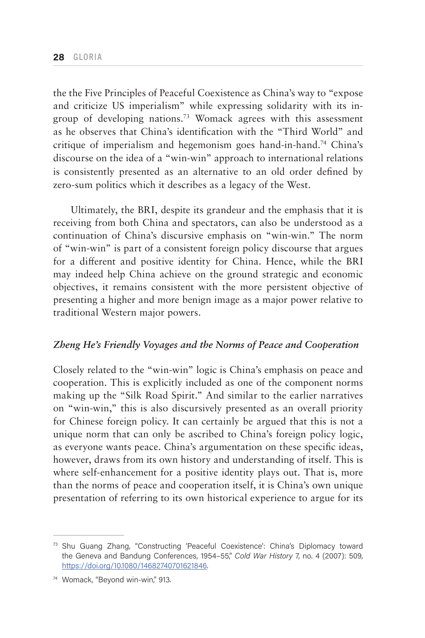the the Five Principles of Peaceful Coexistence as China's way to "expose and criticize US imperialism" while expressing solidarity with its ingroup of developing nations.73 Womack agrees with this assessment as he observes that China's identification with the "Third World" and critique of imperialism and hegemonism goes hand-in-hand.74 China's discourse on the idea of a "win-win" approach to international relations is consistently presented as an alternative to an old order defined by zero-sum politics which it describes as a legacy of the West.

Ultimately, the BRI, despite its grandeur and the emphasis that it is receiving from both China and spectators, can also be understood as a continuation of China's discursive emphasis on "win-win." The norm of "win-win" is part of a consistent foreign policy discourse that argues for a different and positive identity for China. Hence, while the BRI may indeed help China achieve on the ground strategic and economic objectives, it remains consistent with the more persistent objective of presenting a higher and more benign image as a major power relative to traditional Western major powers.

#### *Zheng He's Friendly Voyages and the Norms of Peace and Cooperation*

Closely related to the "win-win" logic is China's emphasis on peace and cooperation. This is explicitly included as one of the component norms making up the "Silk Road Spirit." And similar to the earlier narratives on "win-win," this is also discursively presented as an overall priority for Chinese foreign policy. It can certainly be argued that this is not a unique norm that can only be ascribed to China's foreign policy logic, as everyone wants peace. China's argumentation on these specific ideas, however, draws from its own history and understanding of itself. This is where self-enhancement for a positive identity plays out. That is, more than the norms of peace and cooperation itself, it is China's own unique presentation of referring to its own historical experience to argue for its

<sup>73</sup> Shu Guang Zhang, "Constructing 'Peaceful Coexistence': China's Diplomacy toward the Geneva and Bandung Conferences, 1954–55," *Cold War History* 7, no. 4 (2007): 509, <https://doi.org/10.1080/14682740701621846>.

<sup>74</sup> Womack, "Beyond win-win," 913.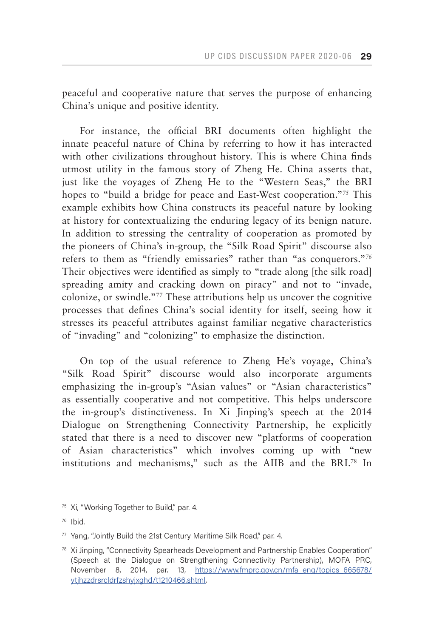peaceful and cooperative nature that serves the purpose of enhancing China's unique and positive identity.

For instance, the official BRI documents often highlight the innate peaceful nature of China by referring to how it has interacted with other civilizations throughout history. This is where China finds utmost utility in the famous story of Zheng He. China asserts that, just like the voyages of Zheng He to the "Western Seas," the BRI hopes to "build a bridge for peace and East-West cooperation."<sup>75</sup> This example exhibits how China constructs its peaceful nature by looking at history for contextualizing the enduring legacy of its benign nature. In addition to stressing the centrality of cooperation as promoted by the pioneers of China's in-group, the "Silk Road Spirit" discourse also refers to them as "friendly emissaries" rather than "as conquerors."76 Their objectives were identified as simply to "trade along [the silk road] spreading amity and cracking down on piracy" and not to "invade, colonize, or swindle."77 These attributions help us uncover the cognitive processes that defines China's social identity for itself, seeing how it stresses its peaceful attributes against familiar negative characteristics of "invading" and "colonizing" to emphasize the distinction.

On top of the usual reference to Zheng He's voyage, China's "Silk Road Spirit" discourse would also incorporate arguments emphasizing the in-group's "Asian values" or "Asian characteristics" as essentially cooperative and not competitive. This helps underscore the in-group's distinctiveness. In Xi Jinping's speech at the 2014 Dialogue on Strengthening Connectivity Partnership, he explicitly stated that there is a need to discover new "platforms of cooperation of Asian characteristics" which involves coming up with "new institutions and mechanisms," such as the AIIB and the BRI.78 In

<sup>&</sup>lt;sup>75</sup> Xi, "Working Together to Build," par. 4.

<sup>76</sup> Ibid.

 $77$  Yang, "Jointly Build the 21st Century Maritime Silk Road," par. 4.

 $78$  Xi Jinping, "Connectivity Spearheads Development and Partnership Enables Cooperation" (Speech at the Dialogue on Strengthening Connectivity Partnership), MOFA PRC, November 8, 2014, par. 13, [https://www.fmprc.gov.cn/mfa\\_eng/topics\\_665678/](https://www.fmprc.gov.cn/mfa_eng/topics_665678/ytjhzzdrsrcldrfzshyjxghd/t1210466.shtml) [ytjhzzdrsrcldrfzshyjxghd/t1210466.shtml.](https://www.fmprc.gov.cn/mfa_eng/topics_665678/ytjhzzdrsrcldrfzshyjxghd/t1210466.shtml)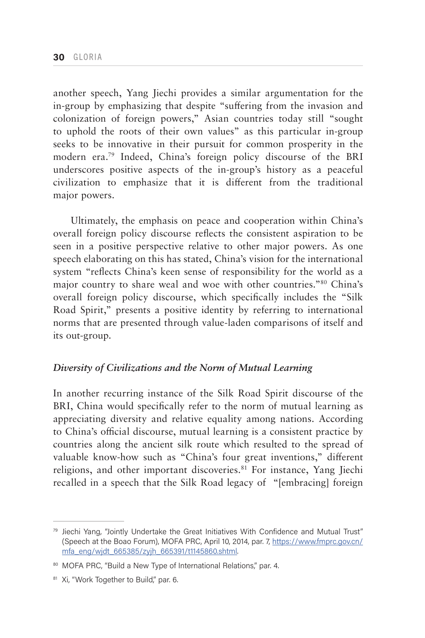another speech, Yang Jiechi provides a similar argumentation for the in-group by emphasizing that despite "suffering from the invasion and colonization of foreign powers," Asian countries today still "sought to uphold the roots of their own values" as this particular in-group seeks to be innovative in their pursuit for common prosperity in the modern era.79 Indeed, China's foreign policy discourse of the BRI underscores positive aspects of the in-group's history as a peaceful civilization to emphasize that it is different from the traditional major powers.

Ultimately, the emphasis on peace and cooperation within China's overall foreign policy discourse reflects the consistent aspiration to be seen in a positive perspective relative to other major powers. As one speech elaborating on this has stated, China's vision for the international system "reflects China's keen sense of responsibility for the world as a major country to share weal and woe with other countries."80 China's overall foreign policy discourse, which specifically includes the "Silk Road Spirit," presents a positive identity by referring to international norms that are presented through value-laden comparisons of itself and its out-group.

### *Diversity of Civilizations and the Norm of Mutual Learning*

In another recurring instance of the Silk Road Spirit discourse of the BRI, China would specifically refer to the norm of mutual learning as appreciating diversity and relative equality among nations. According to China's official discourse, mutual learning is a consistent practice by countries along the ancient silk route which resulted to the spread of valuable know-how such as "China's four great inventions," different religions, and other important discoveries.<sup>81</sup> For instance, Yang Jiechi recalled in a speech that the Silk Road legacy of "[embracing] foreign

<sup>&</sup>lt;sup>79</sup> Jiechi Yang, "Jointly Undertake the Great Initiatives With Confidence and Mutual Trust" (Speech at the Boao Forum), MOFA PRC, April 10, 2014, par. 7, [https://www.fmprc.gov.cn/](https://www.fmprc.gov.cn/mfa_eng/wjdt_665385/zyjh_665391/t1145860.shtml) [mfa\\_eng/wjdt\\_665385/zyjh\\_665391/t1145860.shtml.](https://www.fmprc.gov.cn/mfa_eng/wjdt_665385/zyjh_665391/t1145860.shtml)

<sup>80</sup> MOFA PRC, "Build a New Type of International Relations," par. 4.

<sup>81</sup> Xi, "Work Together to Build," par. 6.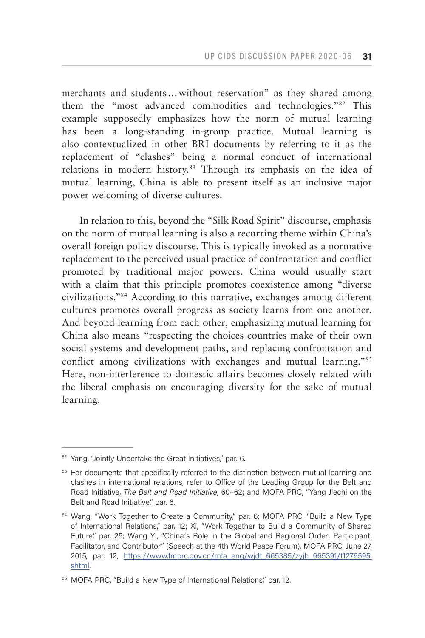merchants and students…without reservation" as they shared among them the "most advanced commodities and technologies."82 This example supposedly emphasizes how the norm of mutual learning has been a long-standing in-group practice. Mutual learning is also contextualized in other BRI documents by referring to it as the replacement of "clashes" being a normal conduct of international relations in modern history.<sup>83</sup> Through its emphasis on the idea of mutual learning, China is able to present itself as an inclusive major power welcoming of diverse cultures.

In relation to this, beyond the "Silk Road Spirit" discourse, emphasis on the norm of mutual learning is also a recurring theme within China's overall foreign policy discourse. This is typically invoked as a normative replacement to the perceived usual practice of confrontation and conflict promoted by traditional major powers. China would usually start with a claim that this principle promotes coexistence among "diverse civilizations."84 According to this narrative, exchanges among different cultures promotes overall progress as society learns from one another. And beyond learning from each other, emphasizing mutual learning for China also means "respecting the choices countries make of their own social systems and development paths, and replacing confrontation and conflict among civilizations with exchanges and mutual learning."85 Here, non-interference to domestic affairs becomes closely related with the liberal emphasis on encouraging diversity for the sake of mutual learning.

<sup>82</sup> Yang, "Jointly Undertake the Great Initiatives," par. 6.

<sup>&</sup>lt;sup>83</sup> For documents that specifically referred to the distinction between mutual learning and clashes in international relations, refer to Office of the Leading Group for the Belt and Road Initiative, *The Belt and Road Initiative*, 60–62; and MOFA PRC, "Yang Jiechi on the Belt and Road Initiative," par. 6.

<sup>84</sup> Wang, "Work Together to Create a Community," par. 6; MOFA PRC, "Build a New Type of International Relations," par. 12; Xi, "Work Together to Build a Community of Shared Future," par. 25; Wang Yi, "China's Role in the Global and Regional Order: Participant, Facilitator, and Contributor" (Speech at the 4th World Peace Forum), MOFA PRC, June 27, 2015, par. 12, [https://www.fmprc.gov.cn/mfa\\_eng/wjdt\\_665385/zyjh\\_665391/t1276595.](https://www.fmprc.gov.cn/mfa_eng/wjdt_665385/zyjh_665391/t1276595.shtml) [shtml.](https://www.fmprc.gov.cn/mfa_eng/wjdt_665385/zyjh_665391/t1276595.shtml)

<sup>85</sup> MOFA PRC, "Build a New Type of International Relations," par. 12.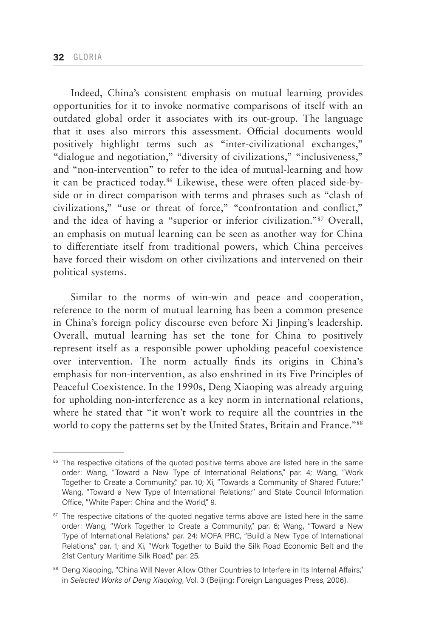Indeed, China's consistent emphasis on mutual learning provides opportunities for it to invoke normative comparisons of itself with an outdated global order it associates with its out-group. The language that it uses also mirrors this assessment. Official documents would positively highlight terms such as "inter-civilizational exchanges," "dialogue and negotiation," "diversity of civilizations," "inclusiveness," and "non-intervention" to refer to the idea of mutual-learning and how it can be practiced today.86 Likewise, these were often placed side-byside or in direct comparison with terms and phrases such as "clash of civilizations," "use or threat of force," "confrontation and conflict," and the idea of having a "superior or inferior civilization."87 Overall, an emphasis on mutual learning can be seen as another way for China to differentiate itself from traditional powers, which China perceives have forced their wisdom on other civilizations and intervened on their political systems.

Similar to the norms of win-win and peace and cooperation, reference to the norm of mutual learning has been a common presence in China's foreign policy discourse even before Xi Jinping's leadership. Overall, mutual learning has set the tone for China to positively represent itself as a responsible power upholding peaceful coexistence over intervention. The norm actually finds its origins in China's emphasis for non-intervention, as also enshrined in its Five Principles of Peaceful Coexistence. In the 1990s, Deng Xiaoping was already arguing for upholding non-interference as a key norm in international relations, where he stated that "it won't work to require all the countries in the world to copy the patterns set by the United States, Britain and France."<sup>88</sup>

<sup>&</sup>lt;sup>86</sup> The respective citations of the quoted positive terms above are listed here in the same order: Wang, "Toward a New Type of International Relations," par. 4; Wang, "Work Together to Create a Community," par. 10; Xi, "Towards a Community of Shared Future;" Wang, "Toward a New Type of International Relations;" and State Council Information Office, "White Paper: China and the World," 9.

<sup>&</sup>lt;sup>87</sup> The respective citations of the quoted negative terms above are listed here in the same order: Wang, "Work Together to Create a Community," par. 6; Wang, "Toward a New Type of International Relations," par. 24; MOFA PRC, "Build a New Type of International Relations," par. 1; and Xi, "Work Together to Build the Silk Road Economic Belt and the 21st Century Maritime Silk Road," par. 25.

<sup>88</sup> Deng Xiaoping, "China Will Never Allow Other Countries to Interfere in Its Internal Affairs," in *Selected Works of Deng Xiaoping*, Vol. 3 (Beijing: Foreign Languages Press, 2006).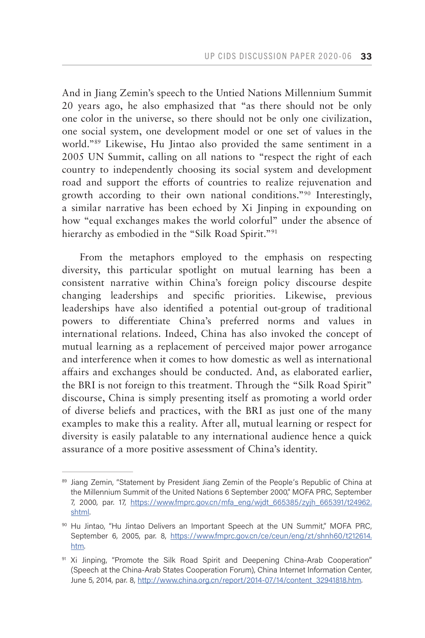And in Jiang Zemin's speech to the Untied Nations Millennium Summit 20 years ago, he also emphasized that "as there should not be only one color in the universe, so there should not be only one civilization, one social system, one development model or one set of values in the world."89 Likewise, Hu Jintao also provided the same sentiment in a 2005 UN Summit, calling on all nations to "respect the right of each country to independently choosing its social system and development road and support the efforts of countries to realize rejuvenation and growth according to their own national conditions."90 Interestingly, a similar narrative has been echoed by Xi Jinping in expounding on how "equal exchanges makes the world colorful" under the absence of hierarchy as embodied in the "Silk Road Spirit."<sup>91</sup>

From the metaphors employed to the emphasis on respecting diversity, this particular spotlight on mutual learning has been a consistent narrative within China's foreign policy discourse despite changing leaderships and specific priorities. Likewise, previous leaderships have also identified a potential out-group of traditional powers to differentiate China's preferred norms and values in international relations. Indeed, China has also invoked the concept of mutual learning as a replacement of perceived major power arrogance and interference when it comes to how domestic as well as international affairs and exchanges should be conducted. And, as elaborated earlier, the BRI is not foreign to this treatment. Through the "Silk Road Spirit" discourse, China is simply presenting itself as promoting a world order of diverse beliefs and practices, with the BRI as just one of the many examples to make this a reality. After all, mutual learning or respect for diversity is easily palatable to any international audience hence a quick assurance of a more positive assessment of China's identity.

<sup>89</sup> Jiang Zemin, "Statement by President Jiang Zemin of the People's Republic of China at the Millennium Summit of the United Nations 6 September 2000," MOFA PRC, September 7, 2000, par. 17, [https://www.fmprc.gov.cn/mfa\\_eng/wjdt\\_665385/zyjh\\_665391/t24962.](https://www.fmprc.gov.cn/mfa_eng/wjdt_665385/zyjh_665391/t24962.shtml) [shtml.](https://www.fmprc.gov.cn/mfa_eng/wjdt_665385/zyjh_665391/t24962.shtml)

<sup>90</sup> Hu Jintao, "Hu Jintao Delivers an Important Speech at the UN Summit," MOFA PRC, September 6, 2005, par. 8, [https://www.fmprc.gov.cn/ce/ceun/eng/zt/shnh60/t212614.](https://www.fmprc.gov.cn/ce/ceun/eng/zt/shnh60/t212614.htm) [htm](https://www.fmprc.gov.cn/ce/ceun/eng/zt/shnh60/t212614.htm).

<sup>91</sup> Xi Jinping, "Promote the Silk Road Spirit and Deepening China-Arab Cooperation" (Speech at the China-Arab States Cooperation Forum), China Internet Information Center, June 5, 2014, par. 8, [http://www.china.org.cn/report/2014-07/14/content\\_32941818.htm](http://www.china.org.cn/report/2014-07/14/content_32941818.htm).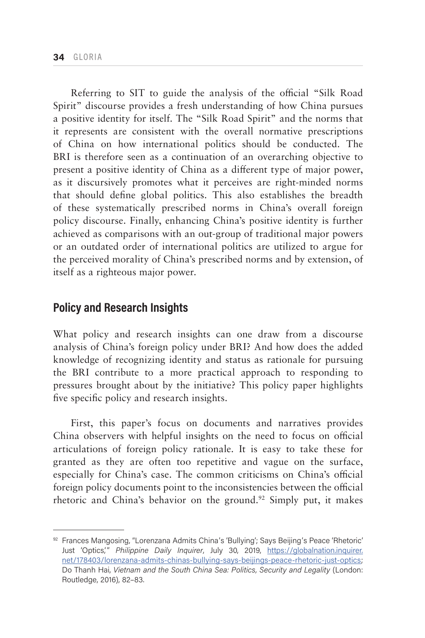Referring to SIT to guide the analysis of the official "Silk Road Spirit" discourse provides a fresh understanding of how China pursues a positive identity for itself. The "Silk Road Spirit" and the norms that it represents are consistent with the overall normative prescriptions of China on how international politics should be conducted. The BRI is therefore seen as a continuation of an overarching objective to present a positive identity of China as a different type of major power, as it discursively promotes what it perceives are right-minded norms that should define global politics. This also establishes the breadth of these systematically prescribed norms in China's overall foreign policy discourse. Finally, enhancing China's positive identity is further achieved as comparisons with an out-group of traditional major powers or an outdated order of international politics are utilized to argue for the perceived morality of China's prescribed norms and by extension, of itself as a righteous major power.

# **Policy and Research Insights**

What policy and research insights can one draw from a discourse analysis of China's foreign policy under BRI? And how does the added knowledge of recognizing identity and status as rationale for pursuing the BRI contribute to a more practical approach to responding to pressures brought about by the initiative? This policy paper highlights five specific policy and research insights.

First, this paper's focus on documents and narratives provides China observers with helpful insights on the need to focus on official articulations of foreign policy rationale. It is easy to take these for granted as they are often too repetitive and vague on the surface, especially for China's case. The common criticisms on China's official foreign policy documents point to the inconsistencies between the official rhetoric and China's behavior on the ground.<sup>92</sup> Simply put, it makes

<sup>92</sup> Frances Mangosing, "Lorenzana Admits China's 'Bullying'; Says Beijing's Peace 'Rhetoric' Just 'Optics,'" *Philippine Daily Inquirer*, July 30, 2019, [https://globalnation.inquirer.](https://globalnation.inquirer.net/178403/lorenzana-admits-chinas-bullying-says-beijings-peace-rhetoric-just-optics) [net/178403/lorenzana-admits-chinas-bullying-says-beijings-peace-rhetoric-just-optics](https://globalnation.inquirer.net/178403/lorenzana-admits-chinas-bullying-says-beijings-peace-rhetoric-just-optics); Do Thanh Hai, Vietnam and the South China Sea: Politics, Security and Legality (London: Routledge, 2016), 82–83.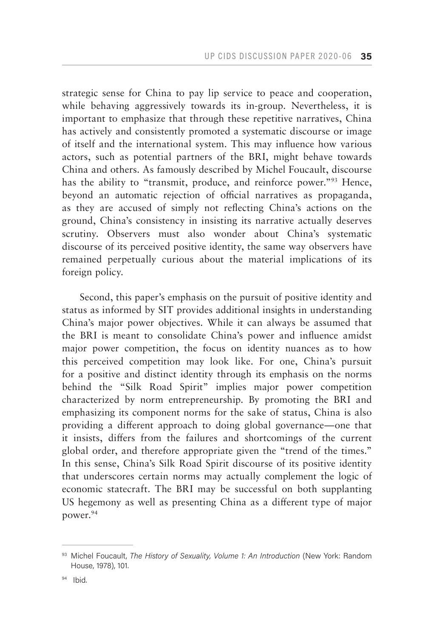strategic sense for China to pay lip service to peace and cooperation, while behaving aggressively towards its in-group. Nevertheless, it is important to emphasize that through these repetitive narratives, China has actively and consistently promoted a systematic discourse or image of itself and the international system. This may influence how various actors, such as potential partners of the BRI, might behave towards China and others. As famously described by Michel Foucault, discourse has the ability to "transmit, produce, and reinforce power."<sup>93</sup> Hence, beyond an automatic rejection of official narratives as propaganda, as they are accused of simply not reflecting China's actions on the ground, China's consistency in insisting its narrative actually deserves scrutiny. Observers must also wonder about China's systematic discourse of its perceived positive identity, the same way observers have remained perpetually curious about the material implications of its foreign policy.

Second, this paper's emphasis on the pursuit of positive identity and status as informed by SIT provides additional insights in understanding China's major power objectives. While it can always be assumed that the BRI is meant to consolidate China's power and influence amidst major power competition, the focus on identity nuances as to how this perceived competition may look like. For one, China's pursuit for a positive and distinct identity through its emphasis on the norms behind the "Silk Road Spirit" implies major power competition characterized by norm entrepreneurship. By promoting the BRI and emphasizing its component norms for the sake of status, China is also providing a different approach to doing global governance—one that it insists, differs from the failures and shortcomings of the current global order, and therefore appropriate given the "trend of the times." In this sense, China's Silk Road Spirit discourse of its positive identity that underscores certain norms may actually complement the logic of economic statecraft. The BRI may be successful on both supplanting US hegemony as well as presenting China as a different type of major power.<sup>94</sup>

<sup>93</sup> Michel Foucault, *The History of Sexuality, Volume 1: An Introduction* (New York: Random House, 1978), 101.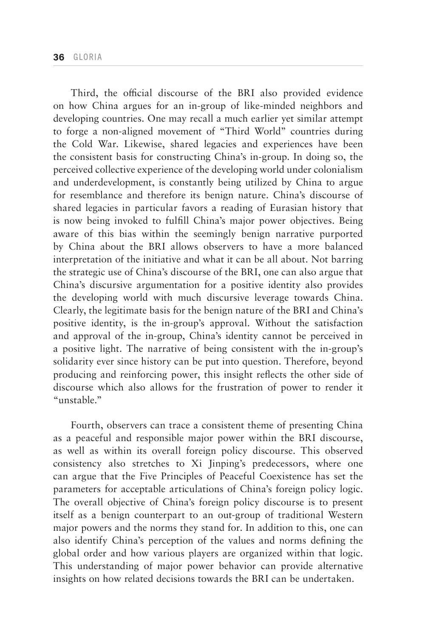Third, the official discourse of the BRI also provided evidence on how China argues for an in-group of like-minded neighbors and developing countries. One may recall a much earlier yet similar attempt to forge a non-aligned movement of "Third World" countries during the Cold War. Likewise, shared legacies and experiences have been the consistent basis for constructing China's in-group. In doing so, the perceived collective experience of the developing world under colonialism and underdevelopment, is constantly being utilized by China to argue for resemblance and therefore its benign nature. China's discourse of shared legacies in particular favors a reading of Eurasian history that is now being invoked to fulfill China's major power objectives. Being aware of this bias within the seemingly benign narrative purported by China about the BRI allows observers to have a more balanced interpretation of the initiative and what it can be all about. Not barring the strategic use of China's discourse of the BRI, one can also argue that China's discursive argumentation for a positive identity also provides the developing world with much discursive leverage towards China. Clearly, the legitimate basis for the benign nature of the BRI and China's positive identity, is the in-group's approval. Without the satisfaction and approval of the in-group, China's identity cannot be perceived in a positive light. The narrative of being consistent with the in-group's solidarity ever since history can be put into question. Therefore, beyond producing and reinforcing power, this insight reflects the other side of discourse which also allows for the frustration of power to render it "unstable."

Fourth, observers can trace a consistent theme of presenting China as a peaceful and responsible major power within the BRI discourse, as well as within its overall foreign policy discourse. This observed consistency also stretches to Xi Jinping's predecessors, where one can argue that the Five Principles of Peaceful Coexistence has set the parameters for acceptable articulations of China's foreign policy logic. The overall objective of China's foreign policy discourse is to present itself as a benign counterpart to an out-group of traditional Western major powers and the norms they stand for. In addition to this, one can also identify China's perception of the values and norms defining the global order and how various players are organized within that logic. This understanding of major power behavior can provide alternative insights on how related decisions towards the BRI can be undertaken.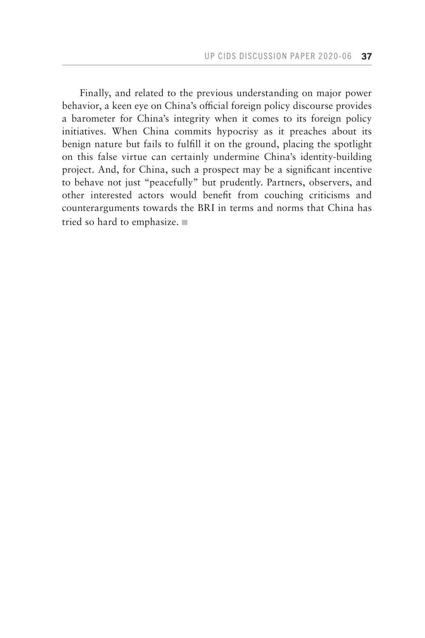Finally, and related to the previous understanding on major power behavior, a keen eye on China's official foreign policy discourse provides a barometer for China's integrity when it comes to its foreign policy initiatives. When China commits hypocrisy as it preaches about its benign nature but fails to fulfill it on the ground, placing the spotlight on this false virtue can certainly undermine China's identity-building project. And, for China, such a prospect may be a significant incentive to behave not just "peacefully" but prudently. Partners, observers, and other interested actors would benefit from couching criticisms and counterarguments towards the BRI in terms and norms that China has tried so hard to emphasize.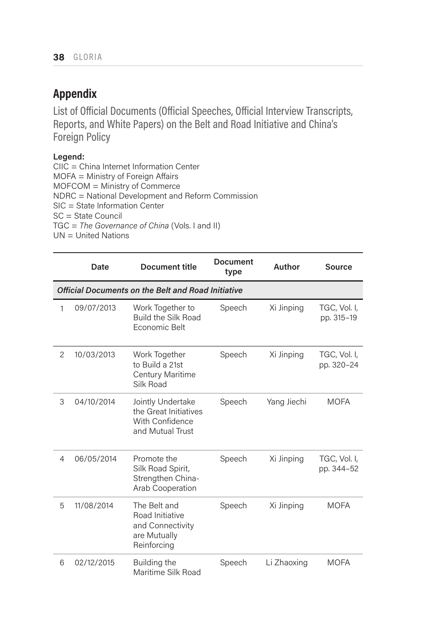# **Appendix**

List of Official Documents (Official Speeches, Official Interview Transcripts, Reports, and White Papers) on the Belt and Road Initiative and China's Foreign Policy

### **Legend:**

CIIC = China Internet Information Center MOFA = Ministry of Foreign Affairs MOFCOM = Ministry of Commerce NDRC = National Development and Reform Commission SIC = State Information Center SC = State Council TGC = *The Governance of China* (Vols. I and II) UN = United Nations

|                | Date                                               | <b>Document title</b>                                                              | <b>Document</b><br>type | Author      | <b>Source</b>              |  |  |
|----------------|----------------------------------------------------|------------------------------------------------------------------------------------|-------------------------|-------------|----------------------------|--|--|
|                | Official Documents on the Belt and Road Initiative |                                                                                    |                         |             |                            |  |  |
| 1              | 09/07/2013                                         | Work Together to<br><b>Build the Silk Road</b><br>Economic Belt                    | Speech                  | Xi Jinping  | TGC, Vol. I,<br>pp. 315-19 |  |  |
| $\overline{2}$ | 10/03/2013                                         | Work Together<br>to Build a 21st<br>Century Maritime<br>Silk Road                  | Speech                  | Xi Jinping  | TGC, Vol. I,<br>pp. 320-24 |  |  |
| 3              | 04/10/2014                                         | Jointly Undertake<br>the Great Initiatives<br>With Confidence<br>and Mutual Trust  | Speech                  | Yang Jiechi | MOFA                       |  |  |
| 4              | 06/05/2014                                         | Promote the<br>Silk Road Spirit,<br>Strengthen China-<br>Arab Cooperation          | Speech                  | Xi Jinping  | TGC, Vol. I,<br>pp. 344-52 |  |  |
| 5              | 11/08/2014                                         | The Belt and<br>Road Initiative<br>and Connectivity<br>are Mutually<br>Reinforcing | Speech                  | Xi Jinping  | <b>MOFA</b>                |  |  |
| 6              | 02/12/2015                                         | Building the<br>Maritime Silk Road                                                 | Speech                  | Li Zhaoxing | <b>MOFA</b>                |  |  |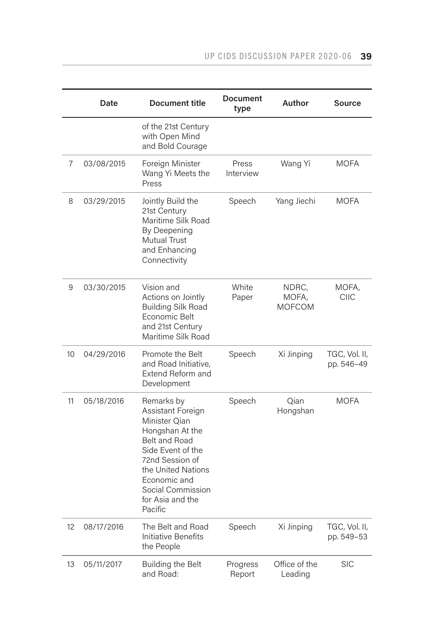|    | Date       | Document title                                                                                                                                                                                                         | <b>Document</b><br>type | Author                          | <b>Source</b>               |
|----|------------|------------------------------------------------------------------------------------------------------------------------------------------------------------------------------------------------------------------------|-------------------------|---------------------------------|-----------------------------|
|    |            | of the 21st Century<br>with Open Mind<br>and Bold Courage                                                                                                                                                              |                         |                                 |                             |
| 7  | 03/08/2015 | Foreign Minister<br>Wang Yi Meets the<br>Press                                                                                                                                                                         | Press<br>Interview      | Wang Yi                         | MOFA                        |
| 8  | 03/29/2015 | Jointly Build the<br>21st Century<br>Maritime Silk Road<br>By Deepening<br>Mutual Trust<br>and Enhancing<br>Connectivity                                                                                               | Speech                  | Yang Jiechi                     | <b>MOFA</b>                 |
| 9  | 03/30/2015 | Vision and<br>Actions on Jointly<br><b>Building Silk Road</b><br>Economic Belt<br>and 21st Century<br>Maritime Silk Road                                                                                               | White<br>Paper          | NDRC,<br>MOFA,<br><b>MOFCOM</b> | MOFA,<br><b>CIIC</b>        |
| 10 | 04/29/2016 | Promote the Belt<br>and Road Initiative.<br>Extend Reform and<br>Development                                                                                                                                           | Speech                  | Xi Jinping                      | TGC, Vol. II,<br>pp. 546-49 |
| 11 | 05/18/2016 | Remarks by<br>Assistant Foreign<br>Minister Qian<br>Hongshan At the<br>Belt and Road<br>Side Event of the<br>72nd Session of<br>the United Nations<br>Economic and<br>Social Commission<br>for Asia and the<br>Pacific | Speech                  | Qian<br>Hongshan                | <b>MOFA</b>                 |
| 12 | 08/17/2016 | The Belt and Road<br>Initiative Benefits<br>the People                                                                                                                                                                 | Speech                  | Xi Jinping                      | TGC, Vol. II,<br>pp. 549-53 |
| 13 | 05/11/2017 | Building the Belt<br>and Road:                                                                                                                                                                                         | Progress<br>Report      | Office of the<br>Leading        | <b>SIC</b>                  |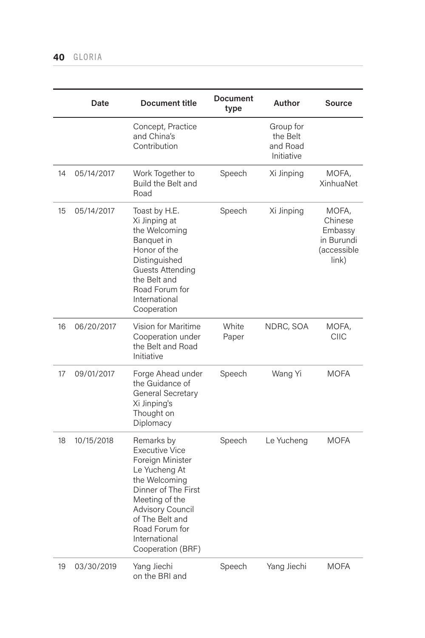|    | Date       | Document title                                                                                                                                                                                                                    | <b>Document</b><br>type | Author                                          | <b>Source</b>                                                            |
|----|------------|-----------------------------------------------------------------------------------------------------------------------------------------------------------------------------------------------------------------------------------|-------------------------|-------------------------------------------------|--------------------------------------------------------------------------|
|    |            | Concept, Practice<br>and China's<br>Contribution                                                                                                                                                                                  |                         | Group for<br>the Belt<br>and Road<br>Initiative |                                                                          |
| 14 | 05/14/2017 | Work Together to<br>Build the Belt and<br>Road                                                                                                                                                                                    | Speech                  | Xi Jinping                                      | MOFA,<br><b>XinhuaNet</b>                                                |
| 15 | 05/14/2017 | Toast by H.E.<br>Xi Jinping at<br>the Welcoming<br>Banquet in<br>Honor of the<br>Distinguished<br>Guests Attending<br>the Belt and<br>Road Forum for<br>International<br>Cooperation                                              | Speech                  | Xi Jinping                                      | MOFA,<br>Chinese<br>Embassy<br>in Burundi<br><i>(accessible</i><br>link) |
| 16 | 06/20/2017 | Vision for Maritime<br>Cooperation under<br>the Belt and Road<br>Initiative                                                                                                                                                       | White<br>Paper          | NDRC, SOA                                       | MOFA,<br>CIIC                                                            |
| 17 | 09/01/2017 | Forge Ahead under<br>the Guidance of<br>General Secretary<br>Xi Jinping's<br>Thought on<br>Diplomacy                                                                                                                              | Speech                  | Wang Yi                                         | <b>MOFA</b>                                                              |
| 18 | 10/15/2018 | Remarks by<br><b>Executive Vice</b><br>Foreign Minister<br>Le Yucheng At<br>the Welcoming<br>Dinner of The First<br>Meeting of the<br>Advisory Council<br>of The Belt and<br>Road Forum for<br>International<br>Cooperation (BRF) | Speech                  | Le Yucheng                                      | <b>MOFA</b>                                                              |
| 19 | 03/30/2019 | Yang Jiechi<br>on the BRI and                                                                                                                                                                                                     | Speech                  | Yang Jiechi                                     | <b>MOFA</b>                                                              |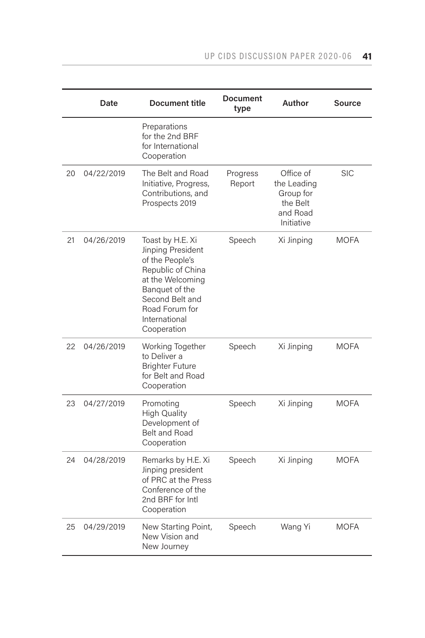|    | Date       | Document title                                                                                                                                                                           | <b>Document</b><br>type | Author                                                                      | <b>Source</b> |
|----|------------|------------------------------------------------------------------------------------------------------------------------------------------------------------------------------------------|-------------------------|-----------------------------------------------------------------------------|---------------|
|    |            | Preparations<br>for the 2nd BRF<br>for International<br>Cooperation                                                                                                                      |                         |                                                                             |               |
| 20 | 04/22/2019 | The Belt and Road<br>Initiative, Progress,<br>Contributions, and<br>Prospects 2019                                                                                                       | Progress<br>Report      | Office of<br>the Leading<br>Group for<br>the Belt<br>and Road<br>Initiative | <b>SIC</b>    |
| 21 | 04/26/2019 | Toast by H.E. Xi<br>Jinping President<br>of the People's<br>Republic of China<br>at the Welcoming<br>Banquet of the<br>Second Belt and<br>Road Forum for<br>International<br>Cooperation | Speech                  | Xi Jinping                                                                  | <b>MOFA</b>   |
| 22 | 04/26/2019 | Working Together<br>to Deliver a<br><b>Brighter Future</b><br>for Belt and Road<br>Cooperation                                                                                           | Speech                  | Xi Jinping                                                                  | <b>MOFA</b>   |
| 23 | 04/27/2019 | Promoting<br><b>High Quality</b><br>Development of<br><b>Belt and Road</b><br>Cooperation                                                                                                | Speech                  | Xi Jinping                                                                  | <b>MOFA</b>   |
| 24 | 04/28/2019 | Remarks by H.E. Xi<br>Jinping president<br>of PRC at the Press<br>Conference of the<br>2nd BRF for Intl<br>Cooperation                                                                   | Speech                  | Xi Jinping                                                                  | MOFA          |
| 25 | 04/29/2019 | New Starting Point,<br>New Vision and<br>New Journey                                                                                                                                     | Speech                  | Wang Yi                                                                     | MOFA          |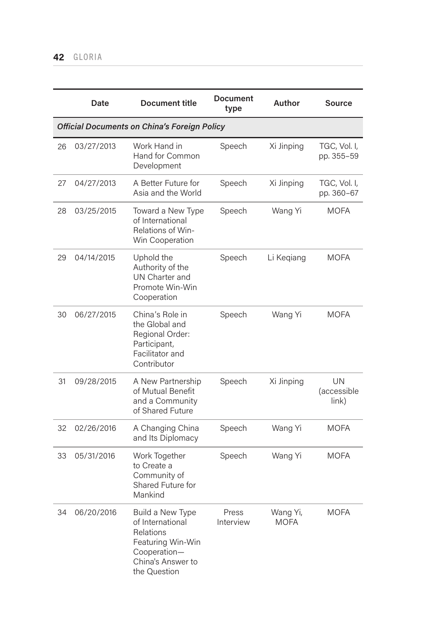|    | Date                                                | Document title                                                                                                                     | <b>Document</b><br>type | Author                  | <b>Source</b>                        |  |  |
|----|-----------------------------------------------------|------------------------------------------------------------------------------------------------------------------------------------|-------------------------|-------------------------|--------------------------------------|--|--|
|    | <b>Official Documents on China's Foreign Policy</b> |                                                                                                                                    |                         |                         |                                      |  |  |
| 26 | 03/27/2013                                          | Work Hand in<br>Hand for Common<br>Development                                                                                     | Speech                  | Xi Jinping              | TGC, Vol. I,<br>pp. 355-59           |  |  |
| 27 | 04/27/2013                                          | A Better Future for<br>Asia and the World                                                                                          | Speech                  | Xi Jinping              | TGC, Vol. I,<br>pp. 360-67           |  |  |
| 28 | 03/25/2015                                          | Toward a New Type<br>of International<br>Relations of Win-<br>Win Cooperation                                                      | Speech                  | Wang Yi                 | <b>MOFA</b>                          |  |  |
| 29 | 04/14/2015                                          | Uphold the<br>Authority of the<br>UN Charter and<br>Promote Win-Win<br>Cooperation                                                 | Speech                  | Li Kegiang              | <b>MOFA</b>                          |  |  |
| 30 | 06/27/2015                                          | China's Role in<br>the Global and<br>Regional Order:<br>Participant,<br>Facilitator and<br>Contributor                             | Speech                  | Wang Yi                 | <b>MOFA</b>                          |  |  |
| 31 | 09/28/2015                                          | A New Partnership<br>of Mutual Benefit<br>and a Community<br>of Shared Future                                                      | Speech                  | Xi Jinping              | UN<br>(accessible<br>$\mathsf{link}$ |  |  |
| 32 | 02/26/2016                                          | A Changing China<br>and Its Diplomacy                                                                                              | Speech                  | Wang Yi                 | <b>MOFA</b>                          |  |  |
| 33 | 05/31/2016                                          | Work Together<br>to Create a<br>Community of<br>Shared Future for<br>Mankind                                                       | Speech                  | Wang Yi                 | <b>MOFA</b>                          |  |  |
| 34 | 06/20/2016                                          | Build a New Type<br>of International<br><b>Relations</b><br>Featuring Win-Win<br>Cooperation-<br>China's Answer to<br>the Question | Press<br>Interview      | Wang Yi,<br><b>MOFA</b> | <b>MOFA</b>                          |  |  |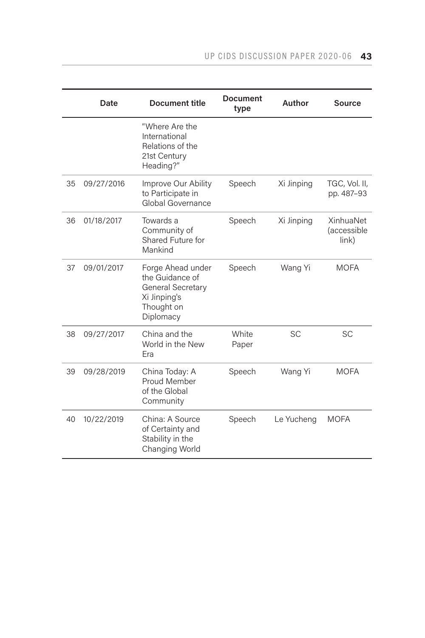|    | Date       | <b>Document title</b>                                                                                | Document<br>type | Author     | Source                            |
|----|------------|------------------------------------------------------------------------------------------------------|------------------|------------|-----------------------------------|
|    |            | "Where Are the<br>International<br>Relations of the<br>21st Century<br>Heading?"                     |                  |            |                                   |
| 35 | 09/27/2016 | Improve Our Ability<br>to Participate in<br>Global Governance                                        | Speech           | Xi Jinping | TGC, Vol. II,<br>pp. 487-93       |
| 36 | 01/18/2017 | Towards a<br>Community of<br>Shared Future for<br>Mankind                                            | Speech           | Xi Jinping | XinhuaNet<br>(accessible<br>link) |
| 37 | 09/01/2017 | Forge Ahead under<br>the Guidance of<br>General Secretary<br>Xi Jinping's<br>Thought on<br>Diplomacy | Speech           | Wang Yi    | <b>MOFA</b>                       |
| 38 | 09/27/2017 | China and the<br>World in the New<br>Era                                                             | White<br>Paper   | <b>SC</b>  | SC                                |
| 39 | 09/28/2019 | China Today: A<br>Proud Member<br>of the Global<br>Community                                         | Speech           | Wang Yi    | <b>MOFA</b>                       |
| 40 | 10/22/2019 | China: A Source<br>of Certainty and<br>Stability in the<br>Changing World                            | Speech           | Le Yucheng | <b>MOFA</b>                       |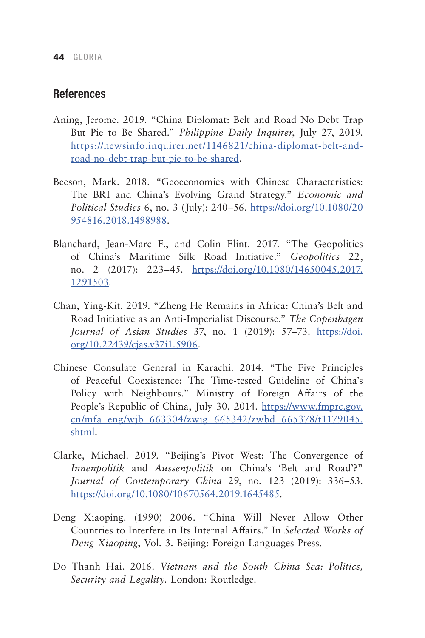# **References**

- Aning, Jerome. 2019. "China Diplomat: Belt and Road No Debt Trap But Pie to Be Shared." *Philippine Daily Inquirer*, July 27, 2019. [https://newsinfo.inquirer.net/1146821/china-diplomat-belt-and](https://newsinfo.inquirer.net/1146821/china-diplomat-belt-and-road-no-debt-trap-but-pie-to-be-shared)[road-no-debt-trap-but-pie-to-be-shared.](https://newsinfo.inquirer.net/1146821/china-diplomat-belt-and-road-no-debt-trap-but-pie-to-be-shared)
- Beeson, Mark. 2018. "Geoeconomics with Chinese Characteristics: The BRI and China's Evolving Grand Strategy." *Economic and Political Studies* 6, no. 3 (July): 240–56. [https://doi.org/10.1080/20](https://doi.org/10.1080/20954816.2018.1498988) [954816.2018.1498988.](https://doi.org/10.1080/20954816.2018.1498988)
- Blanchard, Jean-Marc F., and Colin Flint. 2017. "The Geopolitics of China's Maritime Silk Road Initiative." *Geopolitics* 22, no. 2 (2017): 223-45. [https://doi.org/10.1080/14650045.2017.](https://doi.org/10.1080/14650045.2017.1291503) [1291503.](https://doi.org/10.1080/14650045.2017.1291503)
- Chan, Ying-Kit. 2019. "Zheng He Remains in Africa: China's Belt and Road Initiative as an Anti-Imperialist Discourse." *The Copenhagen Journal of Asian Studies* 37, no. 1 (2019): 57–73. [https://doi.](https://doi.org/10.22439/cjas.v37i1.5906) [org/10.22439/cjas.v37i1.5906.](https://doi.org/10.22439/cjas.v37i1.5906)
- Chinese Consulate General in Karachi. 2014. "The Five Principles of Peaceful Coexistence: The Time-tested Guideline of China's Policy with Neighbours." Ministry of Foreign Affairs of the People's Republic of China, July 30, 2014. [https://www.fmprc.gov.](https://www.fmprc.gov.cn/mfa_eng/wjb_663304/zwjg_665342/zwbd_665378/t1179045.shtml) [cn/mfa\\_eng/wjb\\_663304/zwjg\\_665342/zwbd\\_665378/t1179045.](https://www.fmprc.gov.cn/mfa_eng/wjb_663304/zwjg_665342/zwbd_665378/t1179045.shtml) [shtml](https://www.fmprc.gov.cn/mfa_eng/wjb_663304/zwjg_665342/zwbd_665378/t1179045.shtml).
- Clarke, Michael. 2019. "Beijing's Pivot West: The Convergence of *Innenpolitik* and *Aussenpolitik* on China's 'Belt and Road'?" *Journal of Contemporary China* 29, no. 123 (2019): 336–53. <https://doi.org/10.1080/10670564.2019.1645485>.
- Deng Xiaoping. (1990) 2006. "China Will Never Allow Other Countries to Interfere in Its Internal Affairs." In *Selected Works of Deng Xiaoping*, Vol. 3. Beijing: Foreign Languages Press.
- Do Thanh Hai. 2016. *Vietnam and the South China Sea: Politics, Security and Legality*. London: Routledge.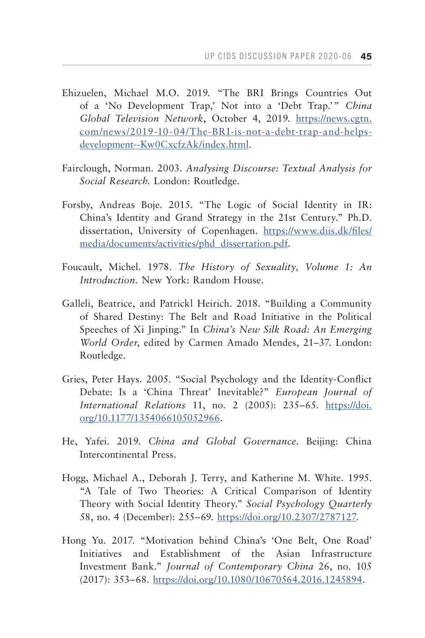- Ehizuelen, Michael M.O. 2019. "The BRI Brings Countries Out of a 'No Development Trap,' Not into a 'Debt Trap.'" *China Global Television Network*, October 4, 2019. [https://news.cgtn.](https://news.cgtn.com/news/2019-10-04/The-BRI-is-not-a-debt-trap-and-helps-development--Kw0CxcfzAk/index.html) [com/news/2019-10-04/The-BRI-is-not-a-debt-trap-and-helps](https://news.cgtn.com/news/2019-10-04/The-BRI-is-not-a-debt-trap-and-helps-development--Kw0CxcfzAk/index.html)[development--Kw0CxcfzAk/index.html.](https://news.cgtn.com/news/2019-10-04/The-BRI-is-not-a-debt-trap-and-helps-development--Kw0CxcfzAk/index.html)
- Fairclough, Norman. 2003. *Analysing Discourse: Textual Analysis for Social Research*. London: Routledge.
- Forsby, Andreas Boje. 2015. "The Logic of Social Identity in IR: China's Identity and Grand Strategy in the 21st Century." Ph.D. dissertation, University of Copenhagen. [https://www.diis.dk/files/](https://www.diis.dk/files/media/documents/activities/phd_dissertation.pdf) [media/documents/activities/phd\\_dissertation.pdf.](https://www.diis.dk/files/media/documents/activities/phd_dissertation.pdf)
- Foucault, Michel. 1978. *The History of Sexuality, Volume 1: An Introduction.* New York: Random House.
- Galleli, Beatrice, and Patrickl Heirich. 2018. "Building a Community of Shared Destiny: The Belt and Road Initiative in the Political Speeches of Xi Jinping." In *China's New Silk Road: An Emerging World Order*, edited by Carmen Amado Mendes, 21–37. London: Routledge.
- Gries, Peter Hays. 2005. "Social Psychology and the Identity-Conflict Debate: Is a 'China Threat' Inevitable?" *European Journal of International Relations* 11, no. 2 (2005): 235–65. [https://doi.](https://doi.org/10.1177/1354066105052966) [org/10.1177/1354066105052966.](https://doi.org/10.1177/1354066105052966)
- He, Yafei. 2019. *China and Global Governance*. Beijing: China Intercontinental Press.
- Hogg, Michael A., Deborah J. Terry, and Katherine M. White. 1995. "A Tale of Two Theories: A Critical Comparison of Identity Theory with Social Identity Theory." *Social Psychology Quarterly* 58, no. 4 (December): 255–69. [https://doi.org/10.2307/2787127.](https://doi.org/10.2307/2787127)
- Hong Yu. 2017. "Motivation behind China's 'One Belt, One Road' Initiatives and Establishment of the Asian Infrastructure Investment Bank." *Journal of Contemporary China* 26, no. 105 (2017): 353–68. <https://doi.org/10.1080/10670564.2016.1245894>.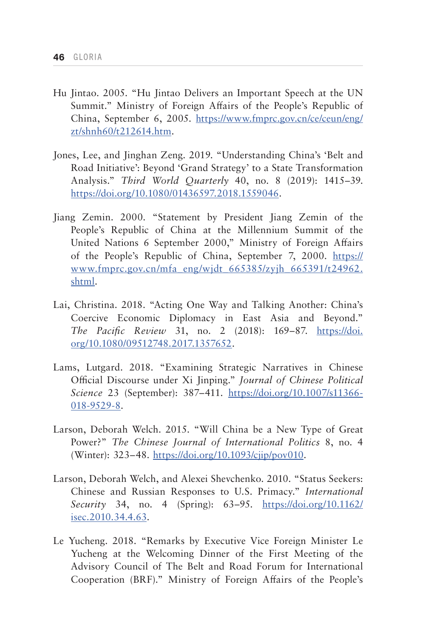- Hu Jintao. 2005. "Hu Jintao Delivers an Important Speech at the UN Summit." Ministry of Foreign Affairs of the People's Republic of China, September 6, 2005. [https://www.fmprc.gov.cn/ce/ceun/eng/](https://www.fmprc.gov.cn/ce/ceun/eng/zt/shnh60/t212614.htm) [zt/shnh60/t212614.htm](https://www.fmprc.gov.cn/ce/ceun/eng/zt/shnh60/t212614.htm).
- Jones, Lee, and Jinghan Zeng. 2019. "Understanding China's 'Belt and Road Initiative': Beyond 'Grand Strategy' to a State Transformation Analysis." *Third World Quarterly* 40, no. 8 (2019): 1415–39. [https://doi.org/10.1080/01436597.2018.1559046.](https://doi.org/10.1080/01436597.2018.1559046)
- Jiang Zemin. 2000. "Statement by President Jiang Zemin of the People's Republic of China at the Millennium Summit of the United Nations 6 September 2000," Ministry of Foreign Affairs of the People's Republic of China, September 7, 2000. [https://](https://www.fmprc.gov.cn/mfa_eng/wjdt_665385/zyjh_665391/t24962.shtml) [www.fmprc.gov.cn/mfa\\_eng/wjdt\\_665385/zyjh\\_665391/t24962.](https://www.fmprc.gov.cn/mfa_eng/wjdt_665385/zyjh_665391/t24962.shtml) [shtml](https://www.fmprc.gov.cn/mfa_eng/wjdt_665385/zyjh_665391/t24962.shtml).
- Lai, Christina. 2018. "Acting One Way and Talking Another: China's Coercive Economic Diplomacy in East Asia and Beyond." *The Pacific Review* 31, no. 2 (2018): 169–87. [https://doi.](https://doi.org/10.1080/09512748.2017.1357652) [org/10.1080/09512748.2017.1357652.](https://doi.org/10.1080/09512748.2017.1357652)
- Lams, Lutgard. 2018. "Examining Strategic Narratives in Chinese Official Discourse under Xi Jinping." *Journal of Chinese Political Science* 23 (September): 387–411. [https://doi.org/10.1007/s11366-](https://doi.org/10.1007/s11366-018-9529-8) [018-9529-8.](https://doi.org/10.1007/s11366-018-9529-8)
- Larson, Deborah Welch. 2015. "Will China be a New Type of Great Power?" *The Chinese Journal of International Politics* 8, no. 4 (Winter): 323–48. [https://doi.org/10.1093/cjip/pov010.](https://doi.org/10.1093/cjip/pov010)
- Larson, Deborah Welch, and Alexei Shevchenko. 2010. "Status Seekers: Chinese and Russian Responses to U.S. Primacy." *International Security* 34, no. 4 (Spring): 63–95. [https://doi.org/10.1162/](https://doi.org/10.1162/isec.2010.34.4.63) [isec.2010.34.4.63](https://doi.org/10.1162/isec.2010.34.4.63).
- Le Yucheng. 2018. "Remarks by Executive Vice Foreign Minister Le Yucheng at the Welcoming Dinner of the First Meeting of the Advisory Council of The Belt and Road Forum for International Cooperation (BRF)." Ministry of Foreign Affairs of the People's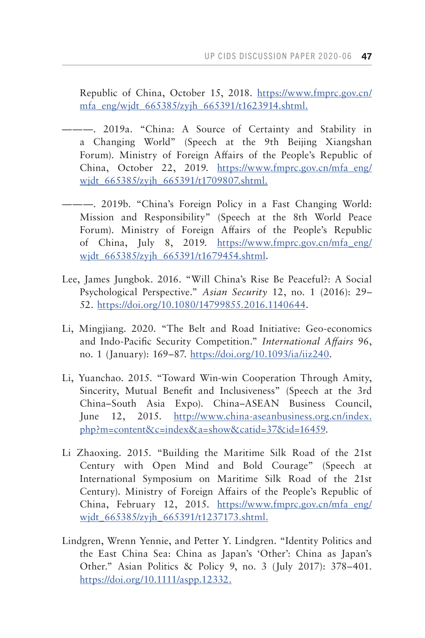Republic of China, October 15, 2018. [https://www.fmprc.gov.cn/](https://www.fmprc.gov.cn/mfa_eng/wjdt_665385/zyjh_665391/t1623914.shtml) [mfa\\_eng/wjdt\\_665385/zyjh\\_665391/t1623914.shtml.](https://www.fmprc.gov.cn/mfa_eng/wjdt_665385/zyjh_665391/t1623914.shtml)

- ———. 2019a. "China: A Source of Certainty and Stability in a Changing World" (Speech at the 9th Beijing Xiangshan Forum). Ministry of Foreign Affairs of the People's Republic of China, October 22, 2019. [https://www.fmprc.gov.cn/mfa\\_eng/](https://www.fmprc.gov.cn/mfa_eng/wjdt_665385/zyjh_665391/t1709807.shtml) wjdt 665385/zyjh 665391/t1709807.shtml.
- ———. 2019b. "China's Foreign Policy in a Fast Changing World: Mission and Responsibility" (Speech at the 8th World Peace Forum). Ministry of Foreign Affairs of the People's Republic of China, July 8, 2019. [https://www.fmprc.gov.cn/mfa\\_eng/](https://www.fmprc.gov.cn/mfa_eng/wjdt_665385/zyjh_665391/t1679454.shtml) wjdt 665385/zyjh 665391/t1679454.shtml.
- Lee, James Jungbok. 2016. "Will China's Rise Be Peaceful?: A Social Psychological Perspective." *Asian Security* 12, no. 1 (2016): 29– 52. [https://doi.org/10.1080/14799855.2016.1140644.](https://doi.org/10.1080/14799855.2016.1140644)
- Li, Mingjiang. 2020. "The Belt and Road Initiative: Geo-economics and Indo-Pacific Security Competition." *International Affairs* 96, no. 1 (January): 169–87. [https://doi.org/10.1093/ia/iiz240.](https://doi.org/10.1093/ia/iiz240)
- Li, Yuanchao. 2015. "Toward Win-win Cooperation Through Amity, Sincerity, Mutual Benefit and Inclusiveness" (Speech at the 3rd China–South Asia Expo). China–ASEAN Business Council, June 12, 2015. [http://www.china-aseanbusiness.org.cn/index.](http://www.china-aseanbusiness.org.cn/index.php?m=content&c=index&a=show&catid=37&id=16459) [php?m=content&c=index&a=show&catid=37&id=16459.](http://www.china-aseanbusiness.org.cn/index.php?m=content&c=index&a=show&catid=37&id=16459)
- Li Zhaoxing. 2015. "Building the Maritime Silk Road of the 21st Century with Open Mind and Bold Courage" (Speech at International Symposium on Maritime Silk Road of the 21st Century). Ministry of Foreign Affairs of the People's Republic of China, February 12, 2015. [https://www.fmprc.gov.cn/mfa\\_eng/](https://www.fmprc.gov.cn/mfa_eng/wjdt_665385/zyjh_665391/t1237173.shtml) wjdt 665385/zyjh 665391/t1237173.shtml.
- Lindgren, Wrenn Yennie, and Petter Y. Lindgren. "Identity Politics and the East China Sea: China as Japan's 'Other': China as Japan's Other." Asian Politics & Policy 9, no. 3 (July 2017): 378–401. [https://doi.org/10.1111/aspp.12332.](https://doi.org/10.1111/aspp.12332. )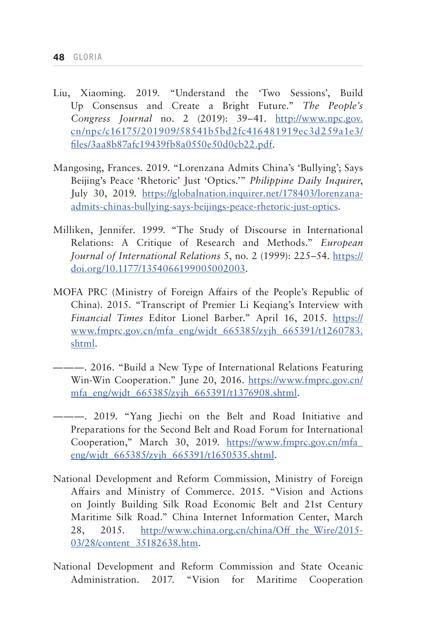- Liu, Xiaoming. 2019. "Understand the 'Two Sessions', Build Up Consensus and Create a Bright Future." *The People's Congress Journal* no. 2 (2019): 39–41. [http://www.npc.gov.](http://www.npc.gov.cn/npc/c16175/201909/58541b5bd2fc416481919ec3d259a1e3/files/3aa8b87afc19439fb8a0550e50d0cb22.pdf) [cn/npc/c16175/201909/58541b5bd2fc416481919ec3d259a1e3/](http://www.npc.gov.cn/npc/c16175/201909/58541b5bd2fc416481919ec3d259a1e3/files/3aa8b87afc19439fb8a0550e50d0cb22.pdf) [files/3aa8b87afc19439fb8a0550e50d0cb22.pdf.](http://www.npc.gov.cn/npc/c16175/201909/58541b5bd2fc416481919ec3d259a1e3/files/3aa8b87afc19439fb8a0550e50d0cb22.pdf)
- Mangosing, Frances. 2019. "Lorenzana Admits China's 'Bullying'; Says Beijing's Peace 'Rhetoric' Just 'Optics.'" *Philippine Daily Inquirer*, July 30, 2019. [https://globalnation.inquirer.net/178403/lorenzana](https://globalnation.inquirer.net/178403/lorenzana-admits-chinas-bullying-says-beijings-peace-rhetoric-just-optics)[admits-chinas-bullying-says-beijings-peace-rhetoric-just-optics.](https://globalnation.inquirer.net/178403/lorenzana-admits-chinas-bullying-says-beijings-peace-rhetoric-just-optics)
- Milliken, Jennifer. 1999. "The Study of Discourse in International Relations: A Critique of Research and Methods." *European Journal of International Relations* 5, no. 2 (1999): 225–54. [https://](https://doi.org/10.1177/1354066199005002003) [doi.org/10.1177/1354066199005002003](https://doi.org/10.1177/1354066199005002003).
- MOFA PRC (Ministry of Foreign Affairs of the People's Republic of China). 2015. "Transcript of Premier Li Keqiang's Interview with *Financial Times* Editor Lionel Barber." April 16, 2015. [https://](https://www.fmprc.gov.cn/mfa_eng/wjdt_665385/zyjh_665391/t1260783.shtml) [www.fmprc.gov.cn/mfa\\_eng/wjdt\\_665385/zyjh\\_665391/t1260783.](https://www.fmprc.gov.cn/mfa_eng/wjdt_665385/zyjh_665391/t1260783.shtml) [shtml](https://www.fmprc.gov.cn/mfa_eng/wjdt_665385/zyjh_665391/t1260783.shtml).
- ———. 2016. "Build a New Type of International Relations Featuring Win-Win Cooperation." June 20, 2016. [https://www.fmprc.gov.cn/](https://www.fmprc.gov.cn/mfa_eng/wjdt_665385/zyjh_665391/t1376908.shtml) [mfa\\_eng/wjdt\\_665385/zyjh\\_665391/t1376908.shtml.](https://www.fmprc.gov.cn/mfa_eng/wjdt_665385/zyjh_665391/t1376908.shtml)
- ———. 2019. "Yang Jiechi on the Belt and Road Initiative and Preparations for the Second Belt and Road Forum for International Cooperation," March 30, 2019. [https://www.fmprc.gov.cn/mfa\\_](https://www.fmprc.gov.cn/mfa_eng/wjdt_665385/zyjh_665391/t1650535.shtml) eng/wjdt 665385/zyjh 665391/t1650535.shtml.
- National Development and Reform Commission, Ministry of Foreign Affairs and Ministry of Commerce. 2015. "Vision and Actions on Jointly Building Silk Road Economic Belt and 21st Century Maritime Silk Road." China Internet Information Center, March 28, 2015. [http://www.china.org.cn/china/Off\\_the\\_Wire/2015-](http://www.china.org.cn/china/Off_the_Wire/2015-03/28/content_35182638.htm) [03/28/content\\_35182638.htm](http://www.china.org.cn/china/Off_the_Wire/2015-03/28/content_35182638.htm).
- National Development and Reform Commission and State Oceanic Administration. 2017. "Vision for Maritime Cooperation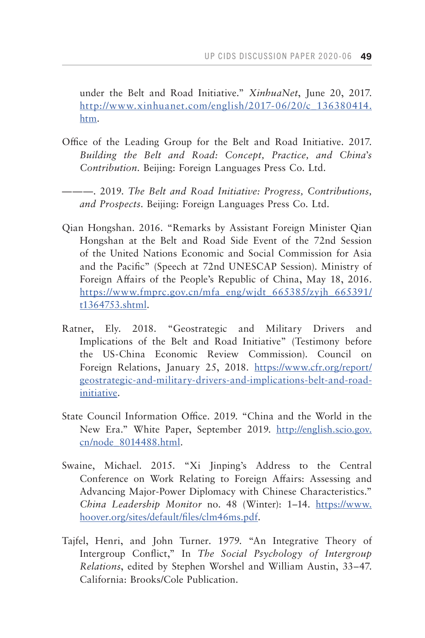under the Belt and Road Initiative." *XinhuaNet*, June 20, 2017. [http://www.xinhuanet.com/english/2017-06/20/c\\_136380414.](http://www.xinhuanet.com/english/2017-06/20/c_136380414.htm) [htm](http://www.xinhuanet.com/english/2017-06/20/c_136380414.htm).

- Office of the Leading Group for the Belt and Road Initiative. 2017. *Building the Belt and Road: Concept, Practice, and China*'*s Contribution*. Beijing: Foreign Languages Press Co. Ltd.
- ———. 2019. *The Belt and Road Initiative: Progress, Contributions, and Prospects*. Beijing: Foreign Languages Press Co. Ltd.
- Qian Hongshan. 2016. "Remarks by Assistant Foreign Minister Qian Hongshan at the Belt and Road Side Event of the 72nd Session of the United Nations Economic and Social Commission for Asia and the Pacific" (Speech at 72nd UNESCAP Session). Ministry of Foreign Affairs of the People's Republic of China, May 18, 2016. [https://www.fmprc.gov.cn/mfa\\_eng/wjdt\\_665385/zyjh\\_665391/](https://www.fmprc.gov.cn/mfa_eng/wjdt_665385/zyjh_665391/t1364753.shtml) [t1364753.shtml](https://www.fmprc.gov.cn/mfa_eng/wjdt_665385/zyjh_665391/t1364753.shtml).
- Ratner, Ely. 2018. "Geostrategic and Military Drivers and Implications of the Belt and Road Initiative" (Testimony before the US-China Economic Review Commission). Council on Foreign Relations, January 25, 2018. [https://www.cfr.org/report/](https://www.cfr.org/report/geostrategic-and-military-drivers-and-implications-belt-and-road-initiative) [geostrategic-and-military-drivers-and-implications-belt-and-road](https://www.cfr.org/report/geostrategic-and-military-drivers-and-implications-belt-and-road-initiative)[initiative](https://www.cfr.org/report/geostrategic-and-military-drivers-and-implications-belt-and-road-initiative).
- State Council Information Office. 2019. "China and the World in the New Era." White Paper, September 2019. [http://english.scio.gov.](http://english.scio.gov.cn/node_8014488.html ) [cn/node\\_8014488.html](http://english.scio.gov.cn/node_8014488.html ).
- Swaine, Michael. 2015. "Xi Jinping's Address to the Central Conference on Work Relating to Foreign Affairs: Assessing and Advancing Major-Power Diplomacy with Chinese Characteristics." *China Leadership Monitor* no. 48 (Winter): 1–14. [https://www.](https://www.hoover.org/sites/default/files/clm46ms.pdf) [hoover.org/sites/default/files/clm46ms.pdf](https://www.hoover.org/sites/default/files/clm46ms.pdf).
- Tajfel, Henri, and John Turner. 1979. "An Integrative Theory of Intergroup Conflict," In *The Social Psychology of Intergroup Relations*, edited by Stephen Worshel and William Austin, 33–47. California: Brooks/Cole Publication.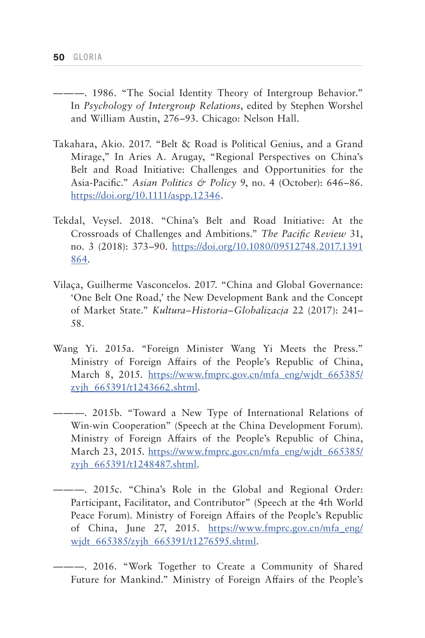- ———. 1986. "The Social Identity Theory of Intergroup Behavior." In *Psychology of Intergroup Relations*, edited by Stephen Worshel and William Austin, 276–93. Chicago: Nelson Hall.
- Takahara, Akio. 2017. "Belt & Road is Political Genius, and a Grand Mirage," In Aries A. Arugay, "Regional Perspectives on China's Belt and Road Initiative: Challenges and Opportunities for the Asia-Pacific." *Asian Politics & Policy* 9, no. 4 (October): 646–86. <https://doi.org/10.1111/aspp.12346>.
- Tekdal, Veysel. 2018. "China's Belt and Road Initiative: At the Crossroads of Challenges and Ambitions." *The Pacific Review* 31, no. 3 (2018): 373–90. [https://doi.org/10.1080/09512748.2017.1391](https://doi.org/10.1080/09512748.2017.1391864) [864.](https://doi.org/10.1080/09512748.2017.1391864)
- Vilaça, Guilherme Vasconcelos. 2017. "China and Global Governance: 'One Belt One Road,' the New Development Bank and the Concept of Market State." *Kultura–Historia–Globalizacja* 22 (2017): 241– 58.
- Wang Yi. 2015a. "Foreign Minister Wang Yi Meets the Press." Ministry of Foreign Affairs of the People's Republic of China, March 8, 2015. [https://www.fmprc.gov.cn/mfa\\_eng/wjdt\\_665385/](https://www.fmprc.gov.cn/mfa_eng/wjdt_665385/zyjh_665391/t1243662.shtml) [zyjh\\_665391/t1243662.shtml.](https://www.fmprc.gov.cn/mfa_eng/wjdt_665385/zyjh_665391/t1243662.shtml)
- ———. 2015b. "Toward a New Type of International Relations of Win-win Cooperation" (Speech at the China Development Forum). Ministry of Foreign Affairs of the People's Republic of China, March 23, 2015. [https://www.fmprc.gov.cn/mfa\\_eng/wjdt\\_665385/](https://www.fmprc.gov.cn/mfa_eng/wjdt_665385/zyjh_665391/t1248487.shtml) [zyjh\\_665391/t1248487.shtml.](https://www.fmprc.gov.cn/mfa_eng/wjdt_665385/zyjh_665391/t1248487.shtml)
- ———. 2015c. "China's Role in the Global and Regional Order: Participant, Facilitator, and Contributor" (Speech at the 4th World Peace Forum). Ministry of Foreign Affairs of the People's Republic of China, June 27, 2015. [https://www.fmprc.gov.cn/mfa\\_eng/](https://www.fmprc.gov.cn/mfa_eng/wjdt_665385/zyjh_665391/t1276595.shtml) wjdt 665385/zyjh 665391/t1276595.shtml.
- ———. 2016. "Work Together to Create a Community of Shared Future for Mankind." Ministry of Foreign Affairs of the People's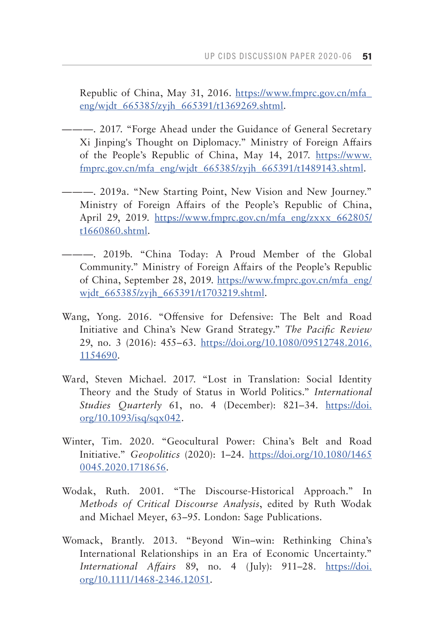Republic of China, May 31, 2016. [https://www.fmprc.gov.cn/mfa\\_](https://www.fmprc.gov.cn/mfa_eng/wjdt_665385/zyjh_665391/t1369269.shtml) [eng/wjdt\\_665385/zyjh\\_665391/t1369269.shtml.](https://www.fmprc.gov.cn/mfa_eng/wjdt_665385/zyjh_665391/t1369269.shtml)

- ———. 2017. "Forge Ahead under the Guidance of General Secretary Xi Jinping's Thought on Diplomacy." Ministry of Foreign Affairs of the People's Republic of China, May 14, 2017. [https://www.](https://www.fmprc.gov.cn/mfa_eng/wjdt_665385/zyjh_665391/t1489143.shtml) [fmprc.gov.cn/mfa\\_eng/wjdt\\_665385/zyjh\\_665391/t1489143.shtml](https://www.fmprc.gov.cn/mfa_eng/wjdt_665385/zyjh_665391/t1489143.shtml).
- ———. 2019a. "New Starting Point, New Vision and New Journey." Ministry of Foreign Affairs of the People's Republic of China, April 29, 2019. [https://www.fmprc.gov.cn/mfa\\_eng/zxxx\\_662805/](https://www.fmprc.gov.cn/mfa_eng/zxxx_662805/t1660860.shtml) [t1660860.shtml.](https://www.fmprc.gov.cn/mfa_eng/zxxx_662805/t1660860.shtml)
- ———. 2019b. "China Today: A Proud Member of the Global Community." Ministry of Foreign Affairs of the People's Republic of China, September 28, 2019. [https://www.fmprc.gov.cn/mfa\\_eng/](https://www.fmprc.gov.cn/mfa_eng/wjdt_665385/zyjh_665391/t1703219.shtml) widt 665385/zyjh 665391/t1703219.shtml.
- Wang, Yong. 2016. "Offensive for Defensive: The Belt and Road Initiative and China's New Grand Strategy." *The Pacific Review*  29, no. 3 (2016): 455–63. [https://doi.org/10.1080/09512748.2016.](https://doi.org/10.1080/09512748.2016.1154690) [1154690](https://doi.org/10.1080/09512748.2016.1154690).
- Ward, Steven Michael. 2017. "Lost in Translation: Social Identity Theory and the Study of Status in World Politics." *International Studies Quarterly* 61, no. 4 (December): 821–34. [https://doi.](https://doi.org/10.1093/isq/sqx042) [org/10.1093/isq/sqx042](https://doi.org/10.1093/isq/sqx042).
- Winter, Tim. 2020. "Geocultural Power: China's Belt and Road Initiative." *Geopolitics* (2020): 1–24. [https://doi.org/10.1080/1465](https://doi.org/10.1080/14650045.2020.1718656) [0045.2020.1718656.](https://doi.org/10.1080/14650045.2020.1718656)
- Wodak, Ruth. 2001. "The Discourse-Historical Approach." In *Methods of Critical Discourse Analysis*, edited by Ruth Wodak and Michael Meyer, 63–95. London: Sage Publications.
- Womack, Brantly. 2013. "Beyond Win–win: Rethinking China's International Relationships in an Era of Economic Uncertainty." *International Affairs* 89, no. 4 (July): 911–28. [https://doi.](https://doi.org/10.1111/1468-2346.12051) [org/10.1111/1468-2346.12051](https://doi.org/10.1111/1468-2346.12051).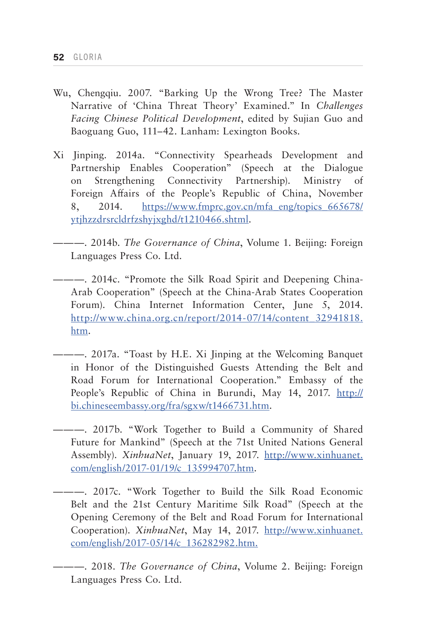- Wu, Chengqiu. 2007. "Barking Up the Wrong Tree? The Master Narrative of 'China Threat Theory' Examined." In *Challenges Facing Chinese Political Development*, edited by Sujian Guo and Baoguang Guo, 111–42. Lanham: Lexington Books.
- Xi Jinping. 2014a. "Connectivity Spearheads Development and Partnership Enables Cooperation" (Speech at the Dialogue on Strengthening Connectivity Partnership). Ministry of Foreign Affairs of the People's Republic of China, November 8, 2014. [https://www.fmprc.gov.cn/mfa\\_eng/topics\\_665678/](https://www.fmprc.gov.cn/mfa_eng/topics_665678/ytjhzzdrsrcldrfzshyjxghd/t1210466.shtml) [ytjhzzdrsrcldrfzshyjxghd/t1210466.shtml.](https://www.fmprc.gov.cn/mfa_eng/topics_665678/ytjhzzdrsrcldrfzshyjxghd/t1210466.shtml)

———. 2014b. *The Governance of China*, Volume 1. Beijing: Foreign Languages Press Co. Ltd.

- ———. 2014c. "Promote the Silk Road Spirit and Deepening China-Arab Cooperation" (Speech at the China-Arab States Cooperation Forum). China Internet Information Center, June 5, 2014. [http://www.china.org.cn/report/2014-07/14/content\\_32941818.](http://www.china.org.cn/report/2014-07/14/content_32941818.htm) [htm](http://www.china.org.cn/report/2014-07/14/content_32941818.htm).
- ———. 2017a. "Toast by H.E. Xi Jinping at the Welcoming Banquet in Honor of the Distinguished Guests Attending the Belt and Road Forum for International Cooperation." Embassy of the People's Republic of China in Burundi, May 14, 2017. [http://](http://bi.chineseembassy.org/fra/sgxw/t1466731.htm) [bi.chineseembassy.org/fra/sgxw/t1466731.htm.](http://bi.chineseembassy.org/fra/sgxw/t1466731.htm)
- ———. 2017b. "Work Together to Build a Community of Shared Future for Mankind" (Speech at the 71st United Nations General Assembly). *XinhuaNet*, January 19, 2017. [http://www.xinhuanet.](http://www.xinhuanet.com/english/2017-01/19/c_135994707.htm) [com/english/2017-01/19/c\\_135994707.htm](http://www.xinhuanet.com/english/2017-01/19/c_135994707.htm).
- ———. 2017c. "Work Together to Build the Silk Road Economic Belt and the 21st Century Maritime Silk Road" (Speech at the Opening Ceremony of the Belt and Road Forum for International Cooperation). *XinhuaNet*, May 14, 2017. [http://www.xinhuanet.](http://www.xinhuanet.com/english/2017-05/14/c_136282982.htm) [com/english/2017-05/14/c\\_136282982.htm.](http://www.xinhuanet.com/english/2017-05/14/c_136282982.htm)

———. 2018. *The Governance of China*, Volume 2. Beijing: Foreign Languages Press Co. Ltd.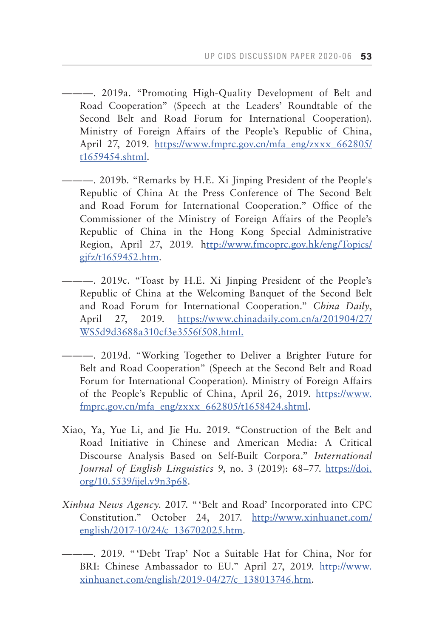———. 2019a. "Promoting High-Quality Development of Belt and Road Cooperation" (Speech at the Leaders' Roundtable of the Second Belt and Road Forum for International Cooperation). Ministry of Foreign Affairs of the People's Republic of China, April 27, 2019. [https://www.fmprc.gov.cn/mfa\\_eng/zxxx\\_662805/](https://www.fmprc.gov.cn/mfa_eng/zxxx_662805/t1659454.shtml) [t1659454.shtml](https://www.fmprc.gov.cn/mfa_eng/zxxx_662805/t1659454.shtml).

- ———. 2019b. "Remarks by H.E. Xi Jinping President of the People's Republic of China At the Press Conference of The Second Belt and Road Forum for International Cooperation." Office of the Commissioner of the Ministry of Foreign Affairs of the People's Republic of China in the Hong Kong Special Administrative Region, April 27, 2019. h[ttp://www.fmcoprc.gov.hk/eng/Topics/](ttp://www.fmcoprc.gov.hk/eng/Topics/gjfz/t1659452.htm) [gjfz/t1659452.htm](ttp://www.fmcoprc.gov.hk/eng/Topics/gjfz/t1659452.htm).
- ———. 2019c. "Toast by H.E. Xi Jinping President of the People's Republic of China at the Welcoming Banquet of the Second Belt and Road Forum for International Cooperation." *China Daily*, April 27, 2019. [https://www.chinadaily.com.cn/a/201904/27/](https://www.chinadaily.com.cn/a/201904/27/WS5d9d3688a310cf3e3556f508.html) [WS5d9d3688a310cf3e3556f508.html.](https://www.chinadaily.com.cn/a/201904/27/WS5d9d3688a310cf3e3556f508.html)
- ———. 2019d. "Working Together to Deliver a Brighter Future for Belt and Road Cooperation" (Speech at the Second Belt and Road Forum for International Cooperation). Ministry of Foreign Affairs of the People's Republic of China, April 26, 2019. [https://www.](https://www.fmprc.gov.cn/mfa_eng/zxxx_662805/t1658424.shtml ) [fmprc.gov.cn/mfa\\_eng/zxxx\\_662805/t1658424.shtml](https://www.fmprc.gov.cn/mfa_eng/zxxx_662805/t1658424.shtml ).
- Xiao, Ya, Yue Li, and Jie Hu. 2019. "Construction of the Belt and Road Initiative in Chinese and American Media: A Critical Discourse Analysis Based on Self-Built Corpora." *International Journal of English Linguistics* 9, no. 3 (2019): 68–77. [https://doi.](https://doi.org/10.5539/ijel.v9n3p68) [org/10.5539/ijel.v9n3p68.](https://doi.org/10.5539/ijel.v9n3p68)
- *Xinhua News Agency*. 2017. "'Belt and Road' Incorporated into CPC Constitution." October 24, 2017. [http://www.xinhuanet.com/](http://www.xinhuanet.com/english/2017-10/24/c_136702025.htm) [english/2017-10/24/c\\_136702025.htm.](http://www.xinhuanet.com/english/2017-10/24/c_136702025.htm)
- ———. 2019. "'Debt Trap' Not a Suitable Hat for China, Nor for BRI: Chinese Ambassador to EU." April 27, 2019. [http://www.](http://www.xinhuanet.com/english/2019-04/27/c_138013746.htm ) [xinhuanet.com/english/2019-04/27/c\\_138013746.htm.](http://www.xinhuanet.com/english/2019-04/27/c_138013746.htm )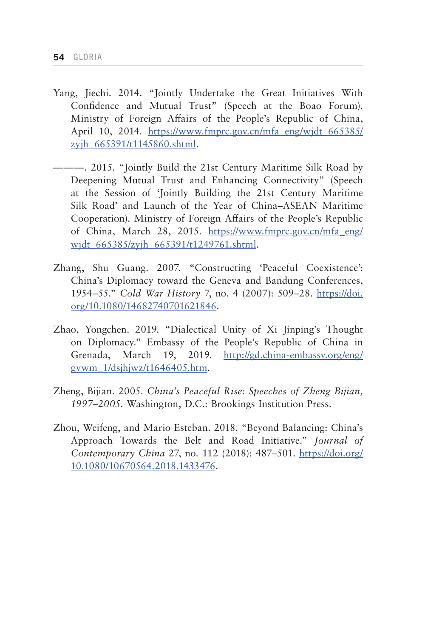- Yang, Jiechi. 2014. "Jointly Undertake the Great Initiatives With Confidence and Mutual Trust" (Speech at the Boao Forum). Ministry of Foreign Affairs of the People's Republic of China, April 10, 2014. [https://www.fmprc.gov.cn/mfa\\_eng/wjdt\\_665385/](https://www.fmprc.gov.cn/mfa_eng/wjdt_665385/zyjh_665391/t1145860.shtml) zyjh 665391/t1145860.shtml.
- ———. 2015. "Jointly Build the 21st Century Maritime Silk Road by Deepening Mutual Trust and Enhancing Connectivity" (Speech at the Session of 'Jointly Building the 21st Century Maritime Silk Road' and Launch of the Year of China–ASEAN Maritime Cooperation). Ministry of Foreign Affairs of the People's Republic of China, March 28, 2015. [https://www.fmprc.gov.cn/mfa\\_eng/](https://www.fmprc.gov.cn/mfa_eng/wjdt_665385/zyjh_665391/t1249761.shtml) widt 665385/zyjh 665391/t1249761.shtml.
- Zhang, Shu Guang. 2007. "Constructing 'Peaceful Coexistence': China's Diplomacy toward the Geneva and Bandung Conferences, 1954–55." *Cold War History* 7, no. 4 (2007): 509–28. [https://doi.](https://doi.org/10.1080/14682740701621846) [org/10.1080/14682740701621846](https://doi.org/10.1080/14682740701621846).
- Zhao, Yongchen. 2019. "Dialectical Unity of Xi Jinping's Thought on Diplomacy." Embassy of the People's Republic of China in Grenada, March 19, 2019. [http://gd.china-embassy.org/eng/](http://gd.china-embassy.org/eng/gywm_1/dsjhjwz/t1646405.htm) gywm  $1/ds$ jhjwz/t $1646405$ .htm.
- Zheng, Bijian. 2005. *China's Peaceful Rise: Speeches of Zheng Bijian, 1997–2005*. Washington, D.C.: Brookings Institution Press.
- Zhou, Weifeng, and Mario Esteban. 2018. "Beyond Balancing: China's Approach Towards the Belt and Road Initiative." *Journal of Contemporary China* 27, no. 112 (2018): 487–501. [https://doi.org/](https://doi.org/10.1080/10670564.2018.1433476) [10.1080/10670564.2018.1433476](https://doi.org/10.1080/10670564.2018.1433476).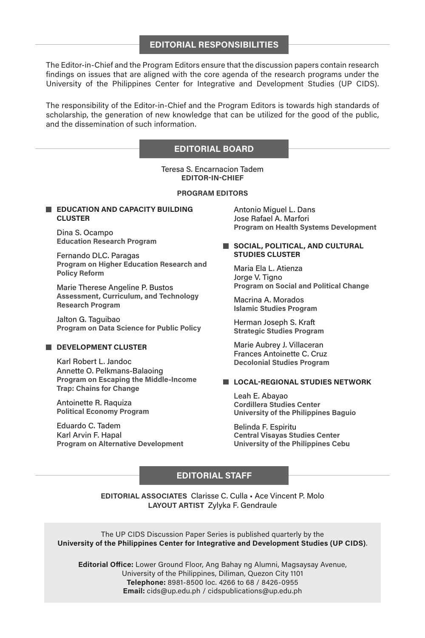#### **EDITORIAL RESPONSIBILITIES**

The Editor-in-Chief and the Program Editors ensure that the discussion papers contain research findings on issues that are aligned with the core agenda of the research programs under the University of the Philippines Center for Integrative and Development Studies (UP CIDS).

The responsibility of the Editor-in-Chief and the Program Editors is towards high standards of scholarship, the generation of new knowledge that can be utilized for the good of the public, and the dissemination of such information.

#### **EDITORIAL BOARD**

Teresa S. Encarnacion Tadem **EDITOR-IN-CHIEF**

#### **PROGRAM EDITORS**

#### **EDUCATION AND CAPACITY BUILDING CLUSTER**

Dina S. Ocampo **Education Research Program**

Fernando DLC. Paragas **Program on Higher Education Research and Policy Reform**

Marie Therese Angeline P. Bustos **Assessment, Curriculum, and Technology Research Program**

Jalton G. Taguibao **Program on Data Science for Public Policy**

#### **DEVELOPMENT CLUSTER**

Karl Robert L. Jandoc Annette O. Pelkmans-Balaoing **Program on Escaping the Middle-Income Trap: Chains for Change**

Antoinette R. Raquiza **Political Economy Program**

Eduardo C. Tadem Karl Arvin F. Hapal **Program on Alternative Development** Antonio Miguel L. Dans Jose Rafael A. Marfori **Program on Health Systems Development**

#### **SOCIAL, POLITICAL, AND CULTURAL STUDIES CLUSTER**

Maria Ela L. Atienza Jorge V. Tigno **Program on Social and Political Change**

Macrina A. Morados **Islamic Studies Program**

Herman Joseph S. Kraft **Strategic Studies Program**

Marie Aubrey J. Villaceran Frances Antoinette C. Cruz **Decolonial Studies Program**

#### **LOCAL-REGIONAL STUDIES NETWORK**

Leah E. Abayao **Cordillera Studies Center University of the Philippines Baguio**

Belinda F. Espiritu **Central Visayas Studies Center University of the Philippines Cebu**

### **EDITORIAL STAFF**

**EDITORIAL ASSOCIATES** Clarisse C. Culla • Ace Vincent P. Molo **LAYOUT ARTIST** Zylyka F. Gendraule

The UP CIDS Discussion Paper Series is published quarterly by the **University of the Philippines Center for Integrative and Development Studies (UP CIDS)**.

**Editorial Office:** Lower Ground Floor, Ang Bahay ng Alumni, Magsaysay Avenue, University of the Philippines, Diliman, Quezon City 1101 **Telephone:** 8981-8500 loc. 4266 to 68 / 8426-0955 **Email:** cids@up.edu.ph / cidspublications@up.edu.ph